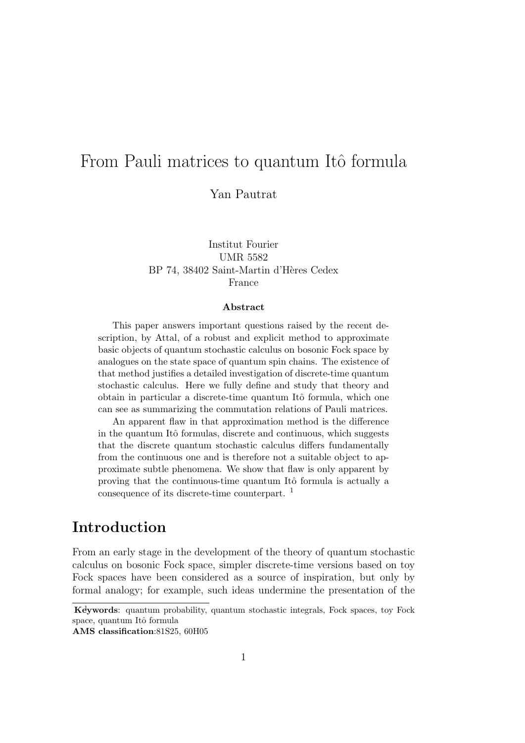# From Pauli matrices to quantum Itô formula

Yan Pautrat

Institut Fourier UMR 5582 BP 74, 38402 Saint-Martin d'H`eres Cedex France

#### Abstract

This paper answers important questions raised by the recent description, by Attal, of a robust and explicit method to approximate basic objects of quantum stochastic calculus on bosonic Fock space by analogues on the state space of quantum spin chains. The existence of that method justifies a detailed investigation of discrete-time quantum stochastic calculus. Here we fully define and study that theory and obtain in particular a discrete-time quantum Itô formula, which one can see as summarizing the commutation relations of Pauli matrices.

An apparent flaw in that approximation method is the difference in the quantum Itô formulas, discrete and continuous, which suggests that the discrete quantum stochastic calculus differs fundamentally from the continuous one and is therefore not a suitable object to approximate subtle phenomena. We show that flaw is only apparent by proving that the continuous-time quantum Itô formula is actually a consequence of its discrete-time counterpart. <sup>1</sup>

# Introduction

From an early stage in the development of the theory of quantum stochastic calculus on bosonic Fock space, simpler discrete-time versions based on toy Fock spaces have been considered as a source of inspiration, but only by formal analogy; for example, such ideas undermine the presentation of the

Keywords: quantum probability, quantum stochastic integrals, Fock spaces, toy Fock space, quantum Itô formula

AMS classification:81S25, 60H05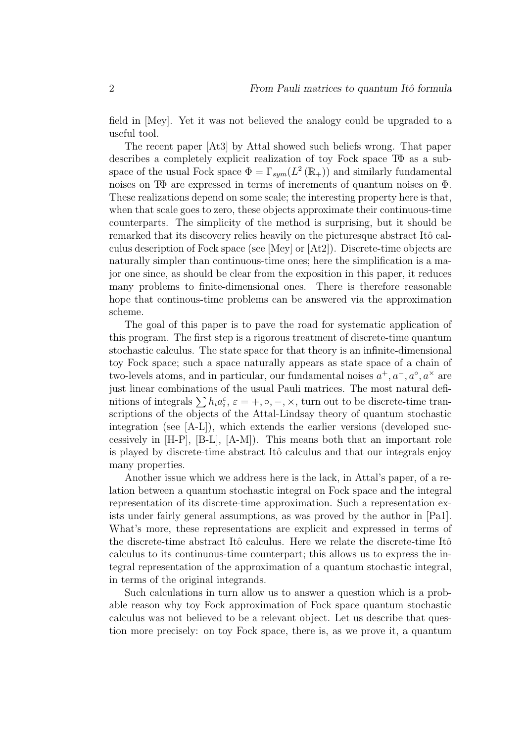field in [Mey]. Yet it was not believed the analogy could be upgraded to a useful tool.

The recent paper [At3] by Attal showed such beliefs wrong. That paper describes a completely explicit realization of toy Fock space TΦ as a subspace of the usual Fock space  $\Phi = \Gamma_{sym}(L^2(\mathbb{R}_+))$  and similarly fundamental noises on TΦ are expressed in terms of increments of quantum noises on Φ. These realizations depend on some scale; the interesting property here is that, when that scale goes to zero, these objects approximate their continuous-time counterparts. The simplicity of the method is surprising, but it should be remarked that its discovery relies heavily on the pictures que abstract Itô calculus description of Fock space (see [Mey] or [At2]). Discrete-time objects are naturally simpler than continuous-time ones; here the simplification is a major one since, as should be clear from the exposition in this paper, it reduces many problems to finite-dimensional ones. There is therefore reasonable hope that continous-time problems can be answered via the approximation scheme.

The goal of this paper is to pave the road for systematic application of this program. The first step is a rigorous treatment of discrete-time quantum stochastic calculus. The state space for that theory is an infinite-dimensional toy Fock space; such a space naturally appears as state space of a chain of two-levels atoms, and in particular, our fundamental noises  $a^+, a^-, a^{\circ}, a^{\times}$  are just linear combinations of the usual Pauli matrices. The most natural definitions of integrals  $\sum h_i a_i^{\varepsilon}$ ,  $\varepsilon = +, \circ, -, \times$ , turn out to be discrete-time transcriptions of the objects of the Attal-Lindsay theory of quantum stochastic integration (see [A-L]), which extends the earlier versions (developed successively in [H-P], [B-L], [A-M]). This means both that an important role is played by discrete-time abstract Itô calculus and that our integrals enjoy many properties.

Another issue which we address here is the lack, in Attal's paper, of a relation between a quantum stochastic integral on Fock space and the integral representation of its discrete-time approximation. Such a representation exists under fairly general assumptions, as was proved by the author in [Pa1]. What's more, these representations are explicit and expressed in terms of the discrete-time abstract Itô calculus. Here we relate the discrete-time Itô calculus to its continuous-time counterpart; this allows us to express the integral representation of the approximation of a quantum stochastic integral, in terms of the original integrands.

Such calculations in turn allow us to answer a question which is a probable reason why toy Fock approximation of Fock space quantum stochastic calculus was not believed to be a relevant object. Let us describe that question more precisely: on toy Fock space, there is, as we prove it, a quantum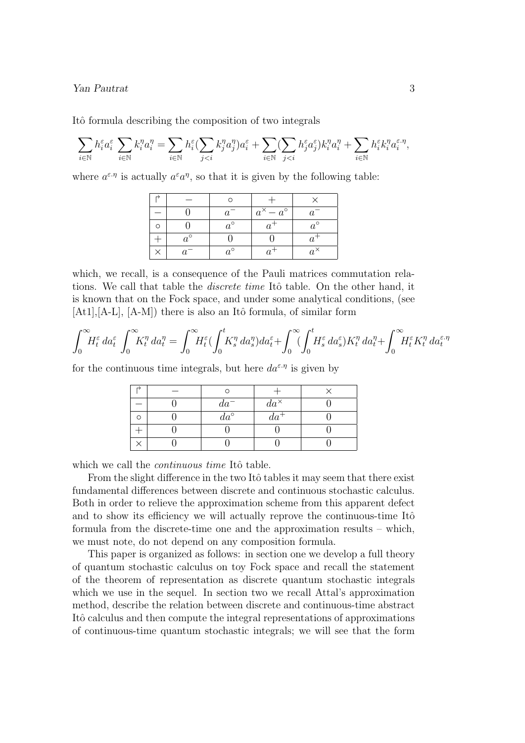Itô formula describing the composition of two integrals

$$
\sum_{i\in\mathbb{N}}h_i^\varepsilon a_i^\varepsilon \, \sum_{i\in\mathbb{N}} k_i^\eta a_i^\eta = \sum_{i\in\mathbb{N}}h_i^\varepsilon(\sum_{j
$$

where  $a^{\varepsilon \eta}$  is actually  $a^{\varepsilon} a^{\eta}$ , so that it is given by the following table:

|             |             | $a^{\times} - a^{\circ}$ |             |
|-------------|-------------|--------------------------|-------------|
|             | $a^{\circ}$ |                          | $a^{\circ}$ |
| $a^{\circ}$ |             |                          |             |
|             |             |                          |             |

which, we recall, is a consequence of the Pauli matrices commutation relations. We call that table the *discrete time* Itô table. On the other hand, it is known that on the Fock space, and under some analytical conditions, (see  $[At1], [A-L], [A-M]$  there is also an Itô formula, of similar form

$$
\int_0^\infty H_t^\varepsilon \, da_t^\varepsilon \int_0^\infty K_t^\eta \, da_t^\eta = \int_0^\infty H_t^\varepsilon \big( \int_0^t K_s^\eta \, da_s^\eta \big) da_t^\varepsilon + \int_0^\infty \big( \int_0^t H_s^\varepsilon \, da_s^\varepsilon \big) K_t^\eta \, da_t^\eta + \int_0^\infty H_t^\varepsilon K_t^\eta \, da_t^{\varepsilon,\eta}
$$

for the continuous time integrals, but here  $da^{\varepsilon \eta}$  is given by

|  | $da^-$       | $da^{\times}$ |  |
|--|--------------|---------------|--|
|  | $da^{\circ}$ | $da^{-}$      |  |
|  |              |               |  |
|  |              |               |  |

which we call the *continuous time* Itô table.

From the slight difference in the two Itô tables it may seem that there exist fundamental differences between discrete and continuous stochastic calculus. Both in order to relieve the approximation scheme from this apparent defect and to show its efficiency we will actually reprove the continuous-time Itô formula from the discrete-time one and the approximation results – which, we must note, do not depend on any composition formula.

This paper is organized as follows: in section one we develop a full theory of quantum stochastic calculus on toy Fock space and recall the statement of the theorem of representation as discrete quantum stochastic integrals which we use in the sequel. In section two we recall Attal's approximation method, describe the relation between discrete and continuous-time abstract Itô calculus and then compute the integral representations of approximations of continuous-time quantum stochastic integrals; we will see that the form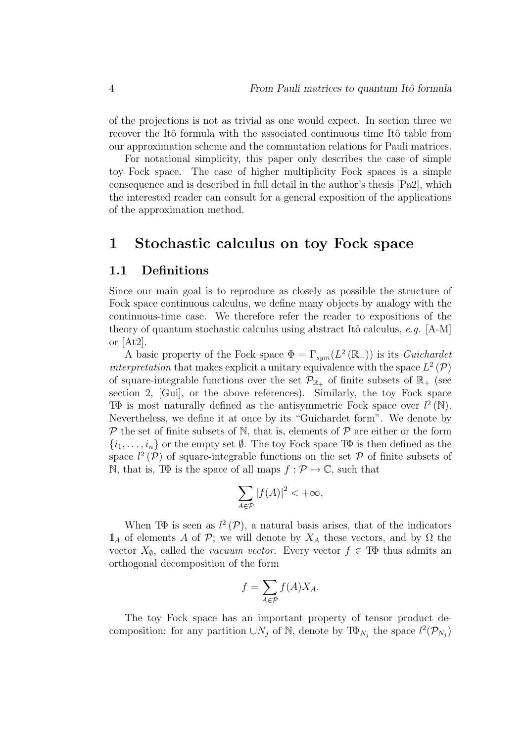of the projections is not as trivial as one would expect. In section three we recover the Itô formula with the associated continuous time Itô table from our approximation scheme and the commutation relations for Pauli matrices.

For notational simplicity, this paper only describes the case of simple toy Fock space. The case of higher multiplicity Fock spaces is a simple consequence and is described in full detail in the author's thesis [Pa2], which the interested reader can consult for a general exposition of the applications of the approximation method.

# 1 Stochastic calculus on toy Fock space

# 1.1 Definitions

Since our main goal is to reproduce as closely as possible the structure of Fock space continuous calculus, we define many objects by analogy with the continuous-time case. We therefore refer the reader to expositions of the theory of quantum stochastic calculus using abstract Itô calculus, e.g.  $[A-M]$ or [At2].

A basic property of the Fock space  $\Phi = \Gamma_{sym}(L^2(\mathbb{R}_+))$  is its *Guichardet* interpretation that makes explicit a unitary equivalence with the space  $L^2(\mathcal{P})$ of square-integrable functions over the set  $\mathcal{P}_{\mathbb{R}_+}$  of finite subsets of  $\mathbb{R}_+$  (see section 2, [Gui], or the above references). Similarly, the toy Fock space TΦ is most naturally defined as the antisymmetric Fock space over  $l^2(\mathbb{N})$ . Nevertheless, we define it at once by its "Guichardet form". We denote by  $P$  the set of finite subsets of N, that is, elements of P are either or the form  $\{i_1, \ldots, i_n\}$  or the empty set  $\emptyset$ . The toy Fock space T $\Phi$  is then defined as the space  $l^2(\mathcal{P})$  of square-integrable functions on the set  $\mathcal P$  of finite subsets of N, that is, T $\Phi$  is the space of all maps  $f : \mathcal{P} \mapsto \mathbb{C}$ , such that

$$
\sum_{A \in \mathcal{P}} |f(A)|^2 < +\infty,
$$

When T $\Phi$  is seen as  $l^2(\mathcal{P})$ , a natural basis arises, that of the indicators  $\mathbb{1}_A$  of elements A of P; we will denote by  $X_A$  these vectors, and by Ω the vector  $X_{\emptyset}$ , called the *vacuum vector*. Every vector  $f \in \mathcal{T}\Phi$  thus admits an orthogonal decomposition of the form

$$
f = \sum_{A \in \mathcal{P}} f(A) X_A.
$$

The toy Fock space has an important property of tensor product decomposition: for any partition  $\cup N_j$  of  $\mathbb N$ , denote by  $\mathbb T\Phi_{N_j}$  the space  $l^2(\mathcal P_{N_j})$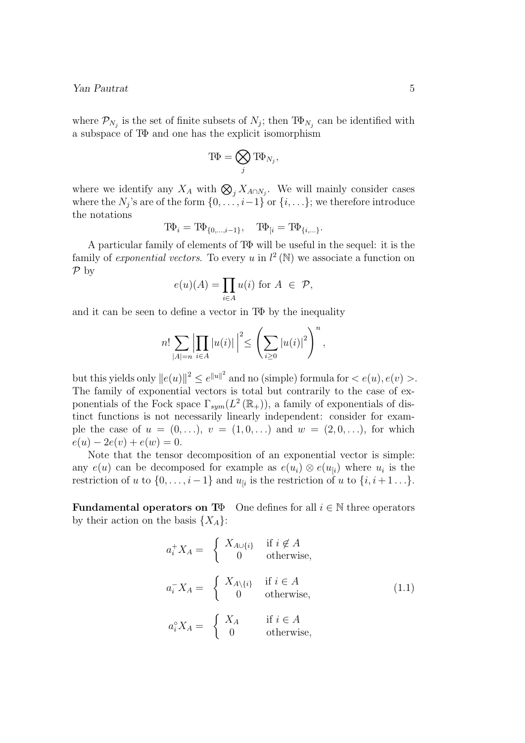where  $\mathcal{P}_{N_j}$  is the set of finite subsets of  $N_j$ ; then  $T\Phi_{N_j}$  can be identified with a subspace of TΦ and one has the explicit isomorphism

$$
\mathrm{T}\!\Phi = \bigotimes_j \mathrm{T}\!\Phi_{N_j},
$$

where we identify any  $X_A$  with  $\bigotimes_j X_{A \cap N_j}$ . We will mainly consider cases where the  $N_j$ 's are of the form  $\{0, \ldots, i-1\}$  or  $\{i, \ldots\}$ ; we therefore introduce the notations

$$
T\Phi_i = T\Phi_{\{0,\dots,i-1\}}, \quad T\Phi_{[i]} = T\Phi_{\{i,\dots\}}.
$$

A particular family of elements of TΦ will be useful in the sequel: it is the family of *exponential vectors*. To every u in  $l^2(\mathbb{N})$  we associate a function on  $\mathcal{P}$  by

$$
e(u)(A) = \prod_{i \in A} u(i) \text{ for } A \in \mathcal{P},
$$

and it can be seen to define a vector in TΦ by the inequality

$$
n! \sum_{|A|=n} \left| \prod_{i \in A} |u(i)| \right|^2 \le \left( \sum_{i \ge 0} |u(i)|^2 \right)^n,
$$

but this yields only  $||e(u)||^2 \le e^{||u||^2}$  and no (simple) formula for  $\langle e(u), e(v) \rangle$ . The family of exponential vectors is total but contrarily to the case of exponentials of the Fock space  $\Gamma_{sym}(L^2(\mathbb{R}_+))$ , a family of exponentials of distinct functions is not necessarily linearly independent: consider for example the case of  $u = (0, \ldots), v = (1, 0, \ldots)$  and  $w = (2, 0, \ldots)$ , for which  $e(u) - 2e(v) + e(w) = 0.$ 

Note that the tensor decomposition of an exponential vector is simple: any  $e(u)$  can be decomposed for example as  $e(u_i) \otimes e(u_i)$  where  $u_i$  is the restriction of u to  $\{0, \ldots, i-1\}$  and  $u_{[i]}$  is the restriction of u to  $\{i, i+1 \ldots\}$ .

**Fundamental operators on T** $\Phi$  One defines for all  $i \in \mathbb{N}$  three operators by their action on the basis  $\{X_A\}$ :

$$
a_i^+ X_A = \begin{cases} X_{A \cup \{i\}} & \text{if } i \notin A \\ 0 & \text{otherwise,} \end{cases}
$$
  
\n
$$
a_i^- X_A = \begin{cases} X_{A \setminus \{i\}} & \text{if } i \in A \\ 0 & \text{otherwise,} \end{cases}
$$
  
\n
$$
a_i^{\circ} X_A = \begin{cases} X_A & \text{if } i \in A \\ 0 & \text{otherwise,} \end{cases}
$$
\n(1.1)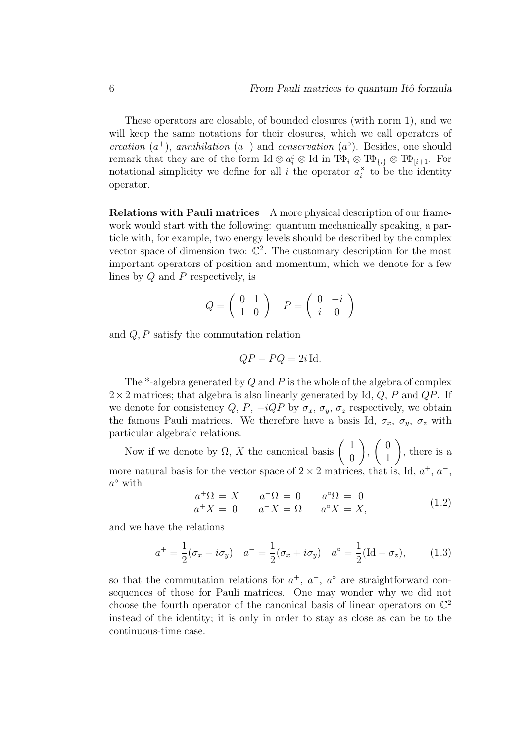These operators are closable, of bounded closures (with norm 1), and we will keep the same notations for their closures, which we call operators of creation  $(a^+)$ , annihilation  $(a^-)$  and conservation  $(a^{\circ})$ . Besides, one should remark that they are of the form Id  $\otimes a_i^{\varepsilon} \otimes \text{Id}$  in  $\text{T}\Phi_i \otimes \text{T}\Phi_{\{i\}} \otimes \text{T}\Phi_{[i+1]}$ . For notational simplicity we define for all i the operator  $a_i^{\times}$  $\chi_i^*$  to be the identity operator.

Relations with Pauli matrices A more physical description of our framework would start with the following: quantum mechanically speaking, a particle with, for example, two energy levels should be described by the complex vector space of dimension two:  $\mathbb{C}^2$ . The customary description for the most important operators of position and momentum, which we denote for a few lines by Q and P respectively, is

$$
Q = \left(\begin{array}{cc} 0 & 1 \\ 1 & 0 \end{array}\right) \quad P = \left(\begin{array}{cc} 0 & -i \\ i & 0 \end{array}\right)
$$

and Q, P satisfy the commutation relation

$$
QP - PQ = 2i \operatorname{Id}.
$$

The  $*$ -algebra generated by Q and P is the whole of the algebra of complex  $2\times 2$  matrices; that algebra is also linearly generated by Id, Q, P and QP. If we denote for consistency Q, P,  $-iQP$  by  $\sigma_x$ ,  $\sigma_y$ ,  $\sigma_z$  respectively, we obtain the famous Pauli matrices. We therefore have a basis Id,  $\sigma_x$ ,  $\sigma_y$ ,  $\sigma_z$  with particular algebraic relations.

Now if we denote by  $\Omega$ , X the canonical basis  $\begin{pmatrix} 1 \\ 0 \end{pmatrix}$  $\theta$  $\setminus$ ,  $\bigg($  0 1  $\setminus$ , there is a more natural basis for the vector space of  $2 \times 2$  matrices, that is, Id,  $a^+$ ,  $a^-$ ,  $a^{\circ}$  with

$$
a^{+}\Omega = X \t a^{-}\Omega = 0 \t a^{\circ}\Omega = 0
$$
  
\n
$$
a^{+}X = 0 \t a^{-}X = \Omega \t a^{\circ}X = X,
$$
\n(1.2)

and we have the relations

$$
a^{+} = \frac{1}{2}(\sigma_{x} - i\sigma_{y}) \quad a^{-} = \frac{1}{2}(\sigma_{x} + i\sigma_{y}) \quad a^{\circ} = \frac{1}{2}(\text{Id} - \sigma_{z}), \quad (1.3)
$$

so that the commutation relations for  $a^+$ ,  $a^-$ ,  $a^{\circ}$  are straightforward consequences of those for Pauli matrices. One may wonder why we did not choose the fourth operator of the canonical basis of linear operators on  $\mathbb{C}^2$ instead of the identity; it is only in order to stay as close as can be to the continuous-time case.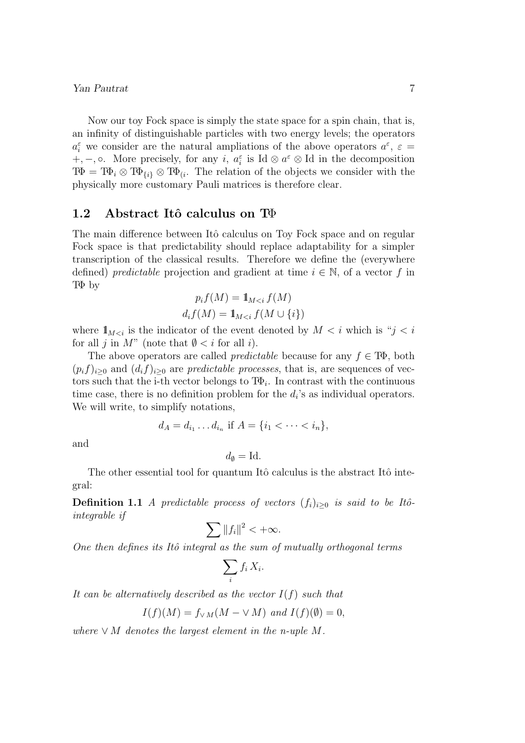Now our toy Fock space is simply the state space for a spin chain, that is, an infinity of distinguishable particles with two energy levels; the operators  $a_i^{\varepsilon}$  we consider are the natural ampliations of the above operators  $a^{\varepsilon}$ ,  $\varepsilon$  = +, -, o. More precisely, for any *i*,  $a_i^{\varepsilon}$  is Id  $\otimes a^{\varepsilon} \otimes$  Id in the decomposition  $T\Phi = T\Phi_i \otimes T\Phi_{\{i\}} \otimes T\Phi_{\{i\}}$ . The relation of the objects we consider with the physically more customary Pauli matrices is therefore clear.

## 1.2 Abstract Itô calculus on T $\Phi$

The main difference between Itô calculus on Toy Fock space and on regular Fock space is that predictability should replace adaptability for a simpler transcription of the classical results. Therefore we define the (everywhere defined) predictable projection and gradient at time  $i \in \mathbb{N}$ , of a vector f in TΦ by

$$
p_i f(M) = 1_{M < i} f(M)
$$
\n
$$
d_i f(M) = 1_{M < i} f(M \cup \{i\})
$$

where  $\mathbb{1}_{M \leq i}$  is the indicator of the event denoted by  $M < i$  which is " $j < i$ " for all j in M" (note that  $\emptyset < i$  for all i).

The above operators are called *predictable* because for any  $f \in \mathbb{T}\Phi$ , both  $(p_i f)_{i\geq 0}$  and  $(d_i f)_{i\geq 0}$  are predictable processes, that is, are sequences of vectors such that the i-th vector belongs to  $\mathbb{T}\Phi_i$ . In contrast with the continuous time case, there is no definition problem for the  $d_i$ 's as individual operators. We will write, to simplify notations,

$$
d_A = d_{i_1} \dots d_{i_n}
$$
 if  $A = \{i_1 < \dots < i_n\}$ ,

and

$$
d_{\emptyset} = \mathrm{Id}.
$$

The other essential tool for quantum Itô calculus is the abstract Itô integral:

**Definition 1.1** A predictable process of vectors  $(f_i)_{i\geq 0}$  is said to be Itôintegrable if

$$
\sum \|f_i\|^2 < +\infty.
$$

One then defines its Itô integral as the sum of mutually orthogonal terms

$$
\sum_i f_i X_i.
$$

It can be alternatively described as the vector  $I(f)$  such that

$$
I(f)(M) = f_{\vee M}(M - \vee M) \text{ and } I(f)(\emptyset) = 0,
$$

where  $\vee M$  denotes the largest element in the n-uple M.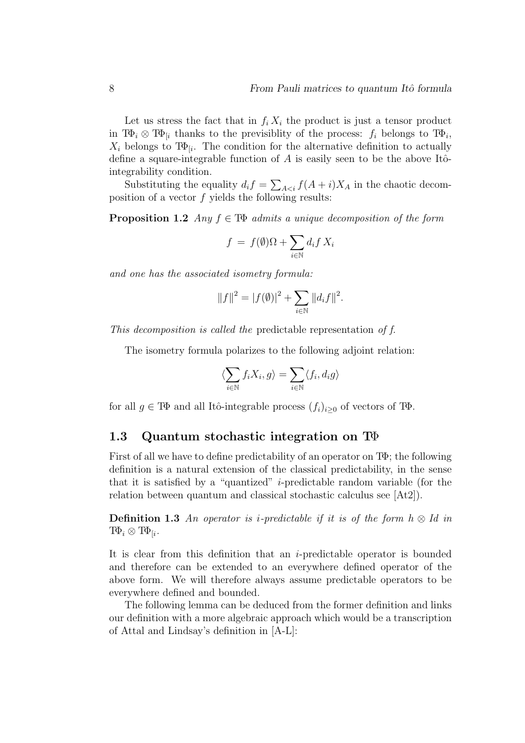Let us stress the fact that in  $f_i X_i$  the product is just a tensor product in T $\Phi_i \otimes \Psi_{[i]}$  thanks to the previsiblity of the process:  $f_i$  belongs to T $\Phi_i$ ,  $X_i$  belongs to  $T\Phi_{[i]}$ . The condition for the alternative definition to actually define a square-integrable function of  $A$  is easily seen to be the above Itôintegrability condition.

Substituting the equality  $d_i f = \sum_{A < i} f(A + i) X_A$  in the chaotic decomposition of a vector f yields the following results:

**Proposition 1.2** Any  $f \in \mathbb{T}\Phi$  admits a unique decomposition of the form

$$
f = f(\emptyset)\Omega + \sum_{i \in \mathbb{N}} d_i f X_i
$$

and one has the associated isometry formula:

$$
||f||^2 = |f(\emptyset)|^2 + \sum_{i \in \mathbb{N}} ||d_i f||^2.
$$

This decomposition is called the predictable representation of f.

The isometry formula polarizes to the following adjoint relation:

$$
\langle \sum_{i \in \mathbb{N}} f_i X_i, g \rangle = \sum_{i \in \mathbb{N}} \langle f_i, d_i g \rangle
$$

for all  $g \in T\Phi$  and all Itô-integrable process  $(f_i)_{i\geq 0}$  of vectors of T $\Phi$ .

# 1.3 Quantum stochastic integration on TΦ

First of all we have to define predictability of an operator on TΦ; the following definition is a natural extension of the classical predictability, in the sense that it is satisfied by a "quantized" i-predictable random variable (for the relation between quantum and classical stochastic calculus see [At2]).

**Definition 1.3** An operator is *i*-predictable if it is of the form  $h \otimes Id$  in  $\text{Tr}\,\mathbb{Q}\otimes \text{Tr}_{[i}.$ 

It is clear from this definition that an i-predictable operator is bounded and therefore can be extended to an everywhere defined operator of the above form. We will therefore always assume predictable operators to be everywhere defined and bounded.

The following lemma can be deduced from the former definition and links our definition with a more algebraic approach which would be a transcription of Attal and Lindsay's definition in [A-L]: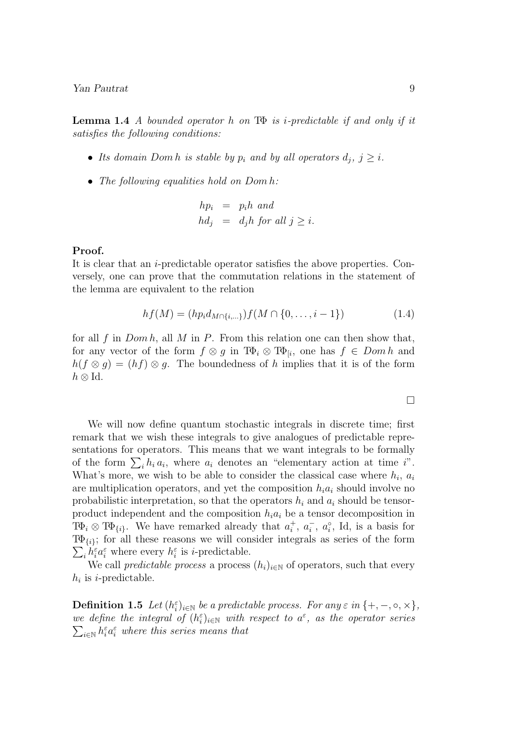**Lemma 1.4** A bounded operator h on  $\mathbb{T}\Phi$  is *i*-predictable if and only if it satisfies the following conditions:

- Its domain Dom h is stable by  $p_i$  and by all operators  $d_j$ ,  $j \geq i$ .
- The following equalities hold on Dom h:

$$
hp_i = p_i h \text{ and}
$$
  

$$
hd_j = d_j h \text{ for all } j \geq i.
$$

### Proof.

It is clear that an i-predictable operator satisfies the above properties. Conversely, one can prove that the commutation relations in the statement of the lemma are equivalent to the relation

$$
hf(M) = (hp_i d_{M \cap \{i, \dots\}}) f(M \cap \{0, \dots, i-1\})
$$
\n(1.4)

for all f in  $Dom h$ , all M in P. From this relation one can then show that, for any vector of the form  $f \otimes g$  in  $\mathbb{T}\Phi_i \otimes \mathbb{T}\Phi_{[i]}$ , one has  $f \in Dom h$  and  $h(f \otimes g) = (hf) \otimes g$ . The boundedness of h implies that it is of the form  $h \otimes Id.$ 

We will now define quantum stochastic integrals in discrete time; first remark that we wish these integrals to give analogues of predictable representations for operators. This means that we want integrals to be formally of the form  $\sum_i h_i a_i$ , where  $a_i$  denotes an "elementary action at time i". What's more, we wish to be able to consider the classical case where  $h_i$ ,  $a_i$ are multiplication operators, and yet the composition  $h_i a_i$  should involve no probabilistic interpretation, so that the operators  $h_i$  and  $a_i$  should be tensorproduct independent and the composition  $h_i a_i$  be a tensor decomposition in  $\text{Tr} \Phi_i \otimes \text{Tr} \Phi_{\{i\}}$ . We have remarked already that  $a_i^+$  $a_i^+, a_i^ \overline{i}$ ,  $a_i^{\circ}$ , Id, is a basis for  $T\Phi_{\{i\}}$ ; for all these reasons we will consider integrals as series of the form  $\sum_i \tilde{h}_i^{\varepsilon} a_i^{\varepsilon}$  where every  $h_i^{\varepsilon}$  is *i*-predictable.

We call *predictable process* a process  $(h_i)_{i\in\mathbb{N}}$  of operators, such that every  $h_i$  is *i*-predictable.

**Definition 1.5** Let  $(h_i^{\varepsilon})_{i \in \mathbb{N}}$  be a predictable process. For any  $\varepsilon$  in  $\{+,-,\circ,\times\}$ , we define the integral of  $(h_i^{\varepsilon})_{i\in\mathbb{N}}$  with respect to  $a^{\varepsilon}$ , as the operator series  $\sum_{i\in\mathbb{N}}h_i^{\varepsilon}a_i^{\varepsilon}$  where this series means that

 $\Box$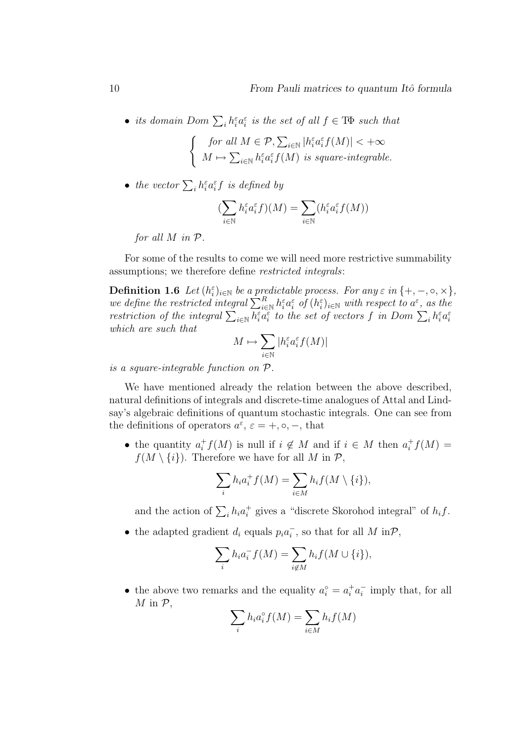• its domain Dom  $\sum_i h_i^{\varepsilon} a_i^{\varepsilon}$  is the set of all  $f \in \mathbb{T} \Phi$  such that

$$
\begin{cases} \text{for all } M \in \mathcal{P}, \sum_{i \in \mathbb{N}} |h_i^{\varepsilon} a_i^{\varepsilon} f(M)| < +\infty \\ M \mapsto \sum_{i \in \mathbb{N}} h_i^{\varepsilon} a_i^{\varepsilon} f(M) \text{ is square-integrable.} \end{cases}
$$

• the vector  $\sum_i h_i^{\varepsilon} a_i^{\varepsilon} f$  is defined by

$$
(\sum_{i\in\mathbb{N}}h_i^\varepsilon a_i^\varepsilon f)(M)=\sum_{i\in\mathbb{N}}(h_i^\varepsilon a_i^\varepsilon f(M))
$$

for all M in P.

For some of the results to come we will need more restrictive summability assumptions; we therefore define restricted integrals:

**Definition 1.6** Let  $(h_i^{\varepsilon})_{i \in \mathbb{N}}$  be a predictable process. For any  $\varepsilon$  in  $\{+,-,\circ,\times\}$ , we define the restricted integral  $\sum_{i\in\mathbb{N}}^R h_i^{\varepsilon} a_i^{\varepsilon}$  of  $(h_i^{\varepsilon})_{i\in\mathbb{N}}$  with respect to  $a^{\varepsilon}$ , as the restriction of the integral  $\sum_{i\in\mathbb{N}}h_i^{\varepsilon}a_i^{\varepsilon}$  to the set of vectors f in Dom  $\sum_i h_i^{\varepsilon}a_i^{\varepsilon}$ which are such that

$$
M \mapsto \sum_{i \in \mathbb{N}} |h_i^\varepsilon a_i^\varepsilon f(M)|
$$

is a square-integrable function on P.

We have mentioned already the relation between the above described, natural definitions of integrals and discrete-time analogues of Attal and Lindsay's algebraic definitions of quantum stochastic integrals. One can see from the definitions of operators  $a^{\varepsilon}$ ,  $\varepsilon = +, \circ, -$ , that

• the quantity  $a_i^+$  $i_t^+ f(M)$  is null if  $i \notin M$  and if  $i \in M$  then  $a_i^+$  $i^+ f(M) =$  $f(M \setminus \{i\})$ . Therefore we have for all M in  $\mathcal{P}$ ,

$$
\sum_{i} h_i a_i^+ f(M) = \sum_{i \in M} h_i f(M \setminus \{i\}),
$$

and the action of  $\sum_i h_i a_i^+$  $i_i^+$  gives a "discrete Skorohod integral" of  $h_i f$ .

• the adapted gradient  $d_i$  equals  $p_i a_i^ \overline{i}$ , so that for all M in  $\mathcal{P}$ ,

$$
\sum_{i} h_i a_i^- f(M) = \sum_{i \notin M} h_i f(M \cup \{i\}),
$$

• the above two remarks and the equality  $a_i^{\circ} = a_i^+ a_i^ \overline{i}$  imply that, for all  $M$  in  $P$ ,

$$
\sum_i h_i a_i^{\circ} f(M) = \sum_{i \in M} h_i f(M)
$$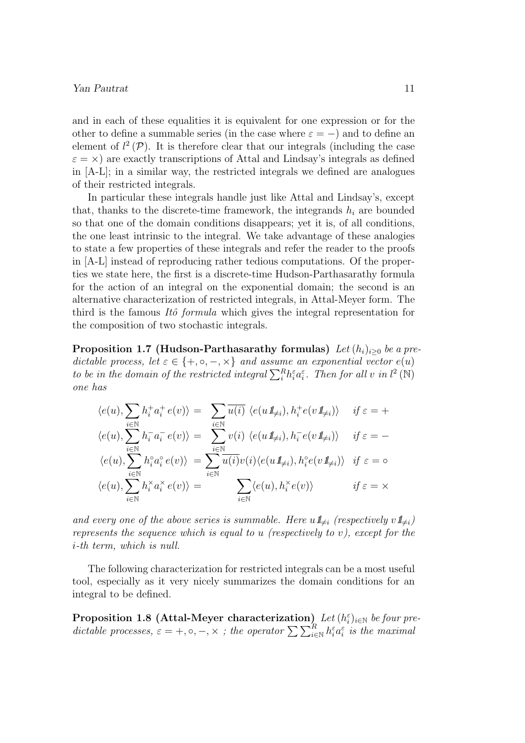and in each of these equalities it is equivalent for one expression or for the other to define a summable series (in the case where  $\varepsilon = -$ ) and to define an element of  $l^2(\mathcal{P})$ . It is therefore clear that our integrals (including the case  $\varepsilon = \times$ ) are exactly transcriptions of Attal and Lindsay's integrals as defined in [A-L]; in a similar way, the restricted integrals we defined are analogues of their restricted integrals.

In particular these integrals handle just like Attal and Lindsay's, except that, thanks to the discrete-time framework, the integrands  $h_i$  are bounded so that one of the domain conditions disappears; yet it is, of all conditions, the one least intrinsic to the integral. We take advantage of these analogies to state a few properties of these integrals and refer the reader to the proofs in [A-L] instead of reproducing rather tedious computations. Of the properties we state here, the first is a discrete-time Hudson-Parthasarathy formula for the action of an integral on the exponential domain; the second is an alternative characterization of restricted integrals, in Attal-Meyer form. The third is the famous Itô formula which gives the integral representation for the composition of two stochastic integrals.

**Proposition 1.7 (Hudson-Parthasarathy formulas)** Let  $(h_i)_{i>0}$  be a predictable process, let  $\varepsilon \in \{+, \circ, -, \times\}$  and assume an exponential vector  $e(u)$ to be in the domain of the restricted integral  $\sum_i^R h_i^{\varepsilon} a_i^{\varepsilon}$ . Then for all v in  $l^2(\mathbb{N})$ one has

$$
\langle e(u), \sum_{i \in \mathbb{N}} h_i^+ a_i^+ e(v) \rangle = \sum_{i \in \mathbb{N}} \overline{u(i)} \langle e(u \mathbb{1}_{\neq i}), h_i^+ e(v \mathbb{1}_{\neq i}) \rangle \quad \text{if } \varepsilon = +
$$
  

$$
\langle e(u), \sum_{i \in \mathbb{N}} h_i^- a_i^- e(v) \rangle = \sum_{i \in \mathbb{N}} v(i) \langle e(u \mathbb{1}_{\neq i}), h_i^- e(v \mathbb{1}_{\neq i}) \rangle \quad \text{if } \varepsilon = -
$$
  

$$
\langle e(u), \sum_{i \in \mathbb{N}} h_i^{\circ} a_i^{\circ} e(v) \rangle = \sum_{i \in \mathbb{N}} \overline{u(i)} v(i) \langle e(u \mathbb{1}_{\neq i}), h_i^{\circ} e(v \mathbb{1}_{\neq i}) \rangle \quad \text{if } \varepsilon = \infty
$$
  

$$
\langle e(u), \sum_{i \in \mathbb{N}} h_i^{\times} a_i^{\times} e(v) \rangle = \sum_{i \in \mathbb{N}} \langle e(u), h_i^{\times} e(v) \rangle \quad \text{if } \varepsilon = \infty
$$

and every one of the above series is summable. Here  $u\mathbb{1}_{\neq i}$  (respectively  $v\mathbb{1}_{\neq i}$ ) represents the sequence which is equal to  $u$  (respectively to  $v$ ), except for the i-th term, which is null.

The following characterization for restricted integrals can be a most useful tool, especially as it very nicely summarizes the domain conditions for an integral to be defined.

**Proposition 1.8 (Attal-Meyer characterization)** Let  $(h_i^{\varepsilon})_{i\in\mathbb{N}}$  be four predictable processes,  $\varepsilon = +, \circ, -, \times$ ; the operator  $\sum \sum_{i \in \mathbb{N}}^R h_i^{\varepsilon} a_i^{\varepsilon}$  is the maximal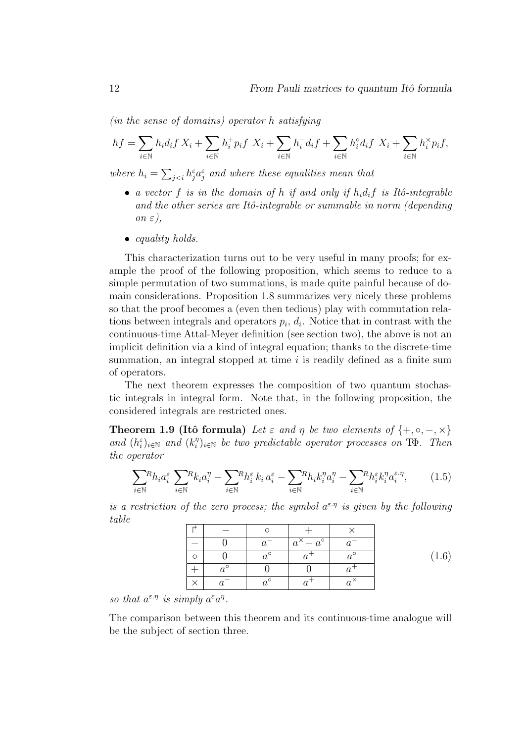(in the sense of domains) operator h satisfying

$$
hf = \sum_{i \in \mathbb{N}} h_i d_i f X_i + \sum_{i \in \mathbb{N}} h_i^+ p_i f X_i + \sum_{i \in \mathbb{N}} h_i^- d_i f + \sum_{i \in \mathbb{N}} h_i^{\circ} d_i f X_i + \sum_{i \in \mathbb{N}} h_i^{\times} p_i f,
$$

where  $h_i = \sum_{j \leq i} h_j^{\varepsilon} a_j^{\varepsilon}$  and where these equalities mean that

- a vector f is in the domain of h if and only if  $h_i d_i f$  is Itô-integrable and the other series are Itô-integrable or summable in norm (depending on  $\varepsilon$ ),
- equality holds.

This characterization turns out to be very useful in many proofs; for example the proof of the following proposition, which seems to reduce to a simple permutation of two summations, is made quite painful because of domain considerations. Proposition 1.8 summarizes very nicely these problems so that the proof becomes a (even then tedious) play with commutation relations between integrals and operators  $p_i, d_i$ . Notice that in contrast with the continuous-time Attal-Meyer definition (see section two), the above is not an implicit definition via a kind of integral equation; thanks to the discrete-time summation, an integral stopped at time  $i$  is readily defined as a finite sum of operators.

The next theorem expresses the composition of two quantum stochastic integrals in integral form. Note that, in the following proposition, the considered integrals are restricted ones.

**Theorem 1.9 (Itô formula)** Let  $\varepsilon$  and  $\eta$  be two elements of  $\{+, \circ, -, \times\}$ and  $(h_i^{\varepsilon})_{i \in \mathbb{N}}$  and  $(k_i^{\eta})$  $e_i^n\rangle_{i\in\mathbb{N}}$  be two predictable operator processes on T $\Phi$ . Then the operator

$$
\sum_{i\in\mathbb{N}}R_{h_i}a_i^{\varepsilon}\sum_{i\in\mathbb{N}}R_{k_i}a_i^{\eta}-\sum_{i\in\mathbb{N}}R_{h_i^{\varepsilon}}k_i a_i^{\varepsilon}-\sum_{i\in\mathbb{N}}R_{h_i}k_i^{\eta}a_i^{\eta}-\sum_{i\in\mathbb{N}}R_{h_i^{\varepsilon}}k_i^{\eta}a_i^{\varepsilon.\eta},\qquad(1.5)
$$

is a restriction of the zero process; the symbol  $a^{\varepsilon \cdot \eta}$  is given by the following table

|          |              | $\alpha^{\circ}$ |       |
|----------|--------------|------------------|-------|
| $\circ$  | $\mathsf{C}$ |                  | (1.6) |
|          |              |                  |       |
| $\times$ |              |                  |       |

so that  $a^{\varepsilon \cdot \eta}$  is simply  $a^{\varepsilon} a^{\eta}$ .

The comparison between this theorem and its continuous-time analogue will be the subject of section three.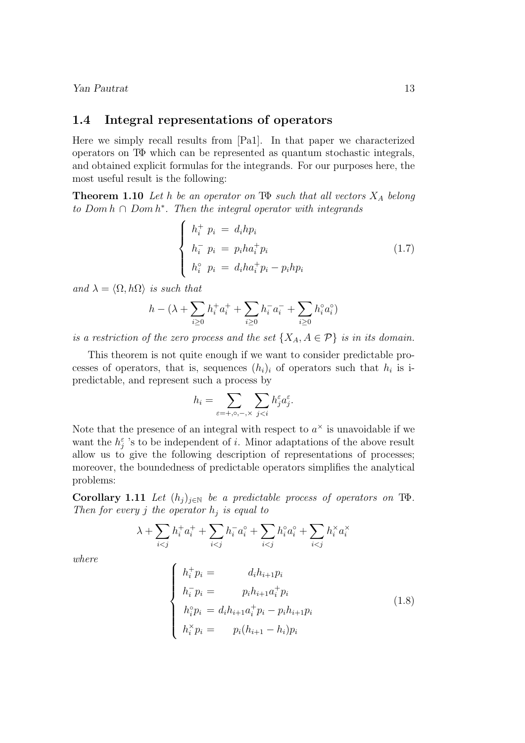# 1.4 Integral representations of operators

Here we simply recall results from [Pa1]. In that paper we characterized operators on TΦ which can be represented as quantum stochastic integrals, and obtained explicit formulas for the integrands. For our purposes here, the most useful result is the following:

**Theorem 1.10** Let h be an operator on  $T\Phi$  such that all vectors  $X_A$  belong to Dom  $h \cap Dom h^*$ . Then the integral operator with integrands

$$
\begin{cases}\nh_i^+ p_i = d_i h p_i \\
h_i^- p_i = p_i h a_i^+ p_i \\
h_i^\circ p_i = d_i h a_i^+ p_i - p_i h p_i\n\end{cases} (1.7)
$$

and  $\lambda = \langle \Omega, h\Omega \rangle$  is such that

$$
h - (\lambda + \sum_{i \ge 0} h_i^+ a_i^+ + \sum_{i \ge 0} h_i^- a_i^- + \sum_{i \ge 0} h_i^{\circ} a_i^{\circ})
$$

is a restriction of the zero process and the set  $\{X_A, A \in \mathcal{P}\}\$ is in its domain.

This theorem is not quite enough if we want to consider predictable processes of operators, that is, sequences  $(h_i)_i$  of operators such that  $h_i$  is ipredictable, and represent such a process by

$$
h_i = \sum_{\varepsilon = +, \circ, -,\times} \sum_{j < i} h_j^{\varepsilon} a_j^{\varepsilon}.
$$

Note that the presence of an integral with respect to  $a^{\times}$  is unavoidable if we want the  $h_j^{\varepsilon}$  's to be independent of i. Minor adaptations of the above result allow us to give the following description of representations of processes; moreover, the boundedness of predictable operators simplifies the analytical problems:

Corollary 1.11 Let  $(h_i)_{i\in\mathbb{N}}$  be a predictable process of operators on T $\Phi$ . Then for every j the operator  $h_j$  is equal to

$$
\lambda + \sum_{i < j} h_i^+ a_i^+ + \sum_{i < j} h_i^- a_i^\circ + \sum_{i < j} h_i^\circ a_i^\circ + \sum_{i < j} h_i^\times a_i^\times
$$

where

$$
\begin{cases}\nh_i^+ p_i = d_i h_{i+1} p_i \\
h_i^- p_i = p_i h_{i+1} a_i^+ p_i \\
h_i^{\circ} p_i = d_i h_{i+1} a_i^+ p_i - p_i h_{i+1} p_i \\
h_i^{\times} p_i = p_i (h_{i+1} - h_i) p_i\n\end{cases} (1.8)
$$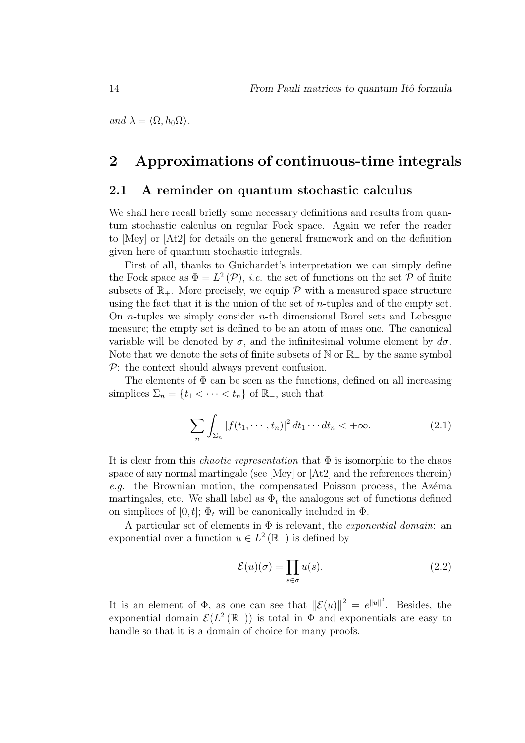and  $\lambda = \langle \Omega, h_0 \Omega \rangle$ .

# 2 Approximations of continuous-time integrals

# 2.1 A reminder on quantum stochastic calculus

We shall here recall briefly some necessary definitions and results from quantum stochastic calculus on regular Fock space. Again we refer the reader to [Mey] or [At2] for details on the general framework and on the definition given here of quantum stochastic integrals.

First of all, thanks to Guichardet's interpretation we can simply define the Fock space as  $\Phi = L^2(\mathcal{P})$ , *i.e.* the set of functions on the set  $\mathcal P$  of finite subsets of  $\mathbb{R}_+$ . More precisely, we equip  $\mathcal P$  with a measured space structure using the fact that it is the union of the set of  $n$ -tuples and of the empty set. On *n*-tuples we simply consider *n*-th dimensional Borel sets and Lebesgue measure; the empty set is defined to be an atom of mass one. The canonical variable will be denoted by  $\sigma$ , and the infinitesimal volume element by  $d\sigma$ . Note that we denote the sets of finite subsets of  $\mathbb{N}$  or  $\mathbb{R}_+$  by the same symbol P: the context should always prevent confusion.

The elements of  $\Phi$  can be seen as the functions, defined on all increasing simplices  $\Sigma_n = \{t_1 < \cdots < t_n\}$  of  $\mathbb{R}_+$ , such that

$$
\sum_{n} \int_{\Sigma_n} |f(t_1, \cdots, t_n)|^2 dt_1 \cdots dt_n < +\infty.
$$
 (2.1)

It is clear from this *chaotic representation* that  $\Phi$  is isomorphic to the chaos space of any normal martingale (see [Mey] or [At2] and the references therein) e.g. the Brownian motion, the compensated Poisson process, the Azema martingales, etc. We shall label as  $\Phi_t$  the analogous set of functions defined on simplices of  $[0, t]$ ;  $\Phi_t$  will be canonically included in  $\Phi$ .

A particular set of elements in  $\Phi$  is relevant, the *exponential domain*: an exponential over a function  $u \in L^2(\mathbb{R}_+)$  is defined by

$$
\mathcal{E}(u)(\sigma) = \prod_{s \in \sigma} u(s). \tag{2.2}
$$

It is an element of  $\Phi$ , as one can see that  $\|\mathcal{E}(u)\|^2 = e^{\|u\|^2}$ . Besides, the exponential domain  $\mathcal{E}(L^2(\mathbb{R}_+))$  is total in  $\Phi$  and exponentials are easy to handle so that it is a domain of choice for many proofs.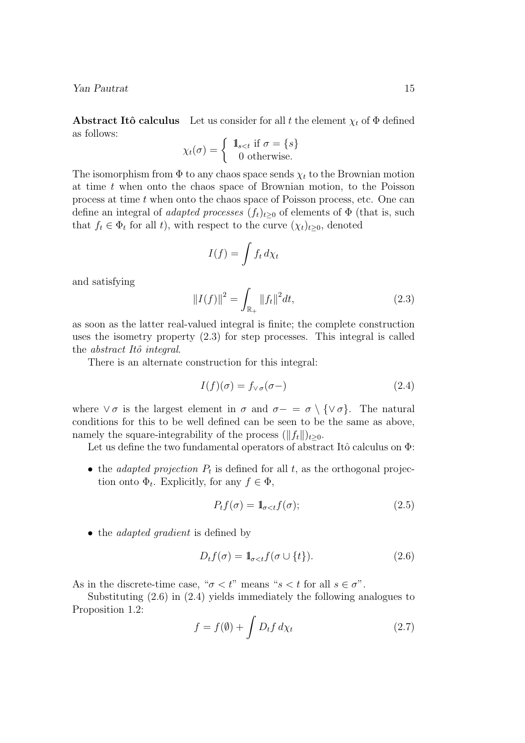**Abstract Itô calculus** Let us consider for all t the element  $\chi_t$  of  $\Phi$  defined as follows:

$$
\chi_t(\sigma) = \begin{cases} 1_{s
$$

The isomorphism from  $\Phi$  to any chaos space sends  $\chi_t$  to the Brownian motion at time  $t$  when onto the chaos space of Brownian motion, to the Poisson process at time t when onto the chaos space of Poisson process, etc. One can define an integral of *adapted processes*  $(f_t)_{t>0}$  of elements of  $\Phi$  (that is, such that  $f_t \in \Phi_t$  for all t), with respect to the curve  $(\chi_t)_{t \geq 0}$ , denoted

$$
I(f) = \int f_t \, d\chi_t
$$

and satisfying

$$
||I(f)||^2 = \int_{\mathbb{R}_+} ||f_t||^2 dt,
$$
\n(2.3)

as soon as the latter real-valued integral is finite; the complete construction uses the isometry property (2.3) for step processes. This integral is called the *abstract* Itô integral.

There is an alternate construction for this integral:

$$
I(f)(\sigma) = f_{\vee \sigma}(\sigma -)
$$
\n(2.4)

where  $\vee \sigma$  is the largest element in  $\sigma$  and  $\sigma- = \sigma \setminus {\vee \sigma}$ . The natural conditions for this to be well defined can be seen to be the same as above, namely the square-integrability of the process  $(\Vert f_t \Vert)_{t>0}$ .

Let us define the two fundamental operators of abstract Itô calculus on  $\Phi$ :

• the *adapted projection*  $P_t$  is defined for all  $t$ , as the orthogonal projection onto  $\Phi_t$ . Explicitly, for any  $f \in \Phi$ ,

$$
P_t f(\sigma) = 1_{\sigma < t} f(\sigma); \tag{2.5}
$$

• the *adapted gradient* is defined by

$$
D_t f(\sigma) = 1_{\sigma < t} f(\sigma \cup \{t\}).\tag{2.6}
$$

As in the discrete-time case, " $\sigma < t$ " means " $s < t$  for all  $s \in \sigma$ ".

Substituting (2.6) in (2.4) yields immediately the following analogues to Proposition 1.2:

$$
f = f(\emptyset) + \int D_t f \, d\chi_t \tag{2.7}
$$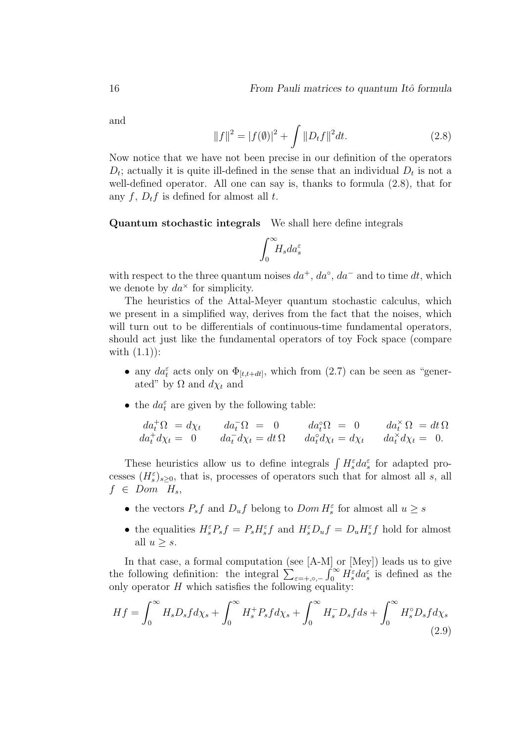and

$$
||f||^2 = |f(\emptyset)|^2 + \int ||D_t f||^2 dt.
$$
 (2.8)

Now notice that we have not been precise in our definition of the operators  $D_t$ ; actually it is quite ill-defined in the sense that an individual  $D_t$  is not a well-defined operator. All one can say is, thanks to formula (2.8), that for any  $f, D_t f$  is defined for almost all t.

Quantum stochastic integrals We shall here define integrals

$$
\int_0^\infty \!\! H_s d a_s^\varepsilon
$$

with respect to the three quantum noises  $da^+$ ,  $da^{\circ}$ ,  $da^-$  and to time dt, which we denote by  $da^{\times}$  for simplicity.

The heuristics of the Attal-Meyer quantum stochastic calculus, which we present in a simplified way, derives from the fact that the noises, which will turn out to be differentials of continuous-time fundamental operators, should act just like the fundamental operators of toy Fock space (compare with  $(1.1)$ :

- any  $da_t^{\varepsilon}$  acts only on  $\Phi_{[t,t+dt]}$ , which from (2.7) can be seen as "generated" by  $\Omega$  and  $d\chi_t$  and
- the  $da_t^{\varepsilon}$  are given by the following table:

$$
da_t^+ \Omega = d\chi_t \t da_t^- \Omega = 0 \t da_t^2 \Omega = 0 \t da_t^2 \chi_t = 0 \t da_t^2 d\chi_t = d\chi_t \t da_t^2 d\chi_t = 0.
$$

These heuristics allow us to define integrals  $\int H_s^{\varepsilon} da_s^{\varepsilon}$  for adapted processes  $(H_s^{\varepsilon})_{s\geq 0}$ , that is, processes of operators such that for almost all s, all  $f \in Dom H_s$ ,

- the vectors  $P_s f$  and  $D_u f$  belong to  $Dom H_s^{\varepsilon}$  for almost all  $u \geq s$
- the equalities  $H_s^{\varepsilon} P_s f = P_s H_s^{\varepsilon} f$  and  $H_s^{\varepsilon} D_u f = D_u H_s^{\varepsilon} f$  hold for almost all  $u > s$ .

In that case, a formal computation (see [A-M] or [Mey]) leads us to give the following definition: the integral  $\sum_{\varepsilon=+,\circ,-} \int_0^\infty H_s^{\varepsilon} d a_s^{\varepsilon}$  is defined as the only operator  $H$  which satisfies the following equality:

$$
Hf = \int_0^\infty H_s D_s f d\chi_s + \int_0^\infty H_s^+ P_s f d\chi_s + \int_0^\infty H_s^- D_s f ds + \int_0^\infty H_s^\circ D_s f d\chi_s \tag{2.9}
$$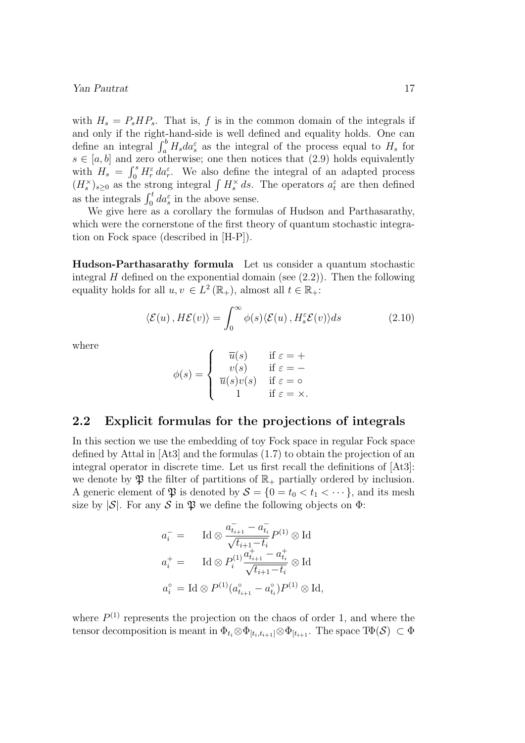with  $H_s = P_s H P_s$ . That is, f is in the common domain of the integrals if and only if the right-hand-side is well defined and equality holds. One can define an integral  $\int_a^b H_s da_s^{\varepsilon}$  as the integral of the process equal to  $H_s$  for  $s \in [a, b]$  and zero otherwise; one then notices that (2.9) holds equivalently with  $H_s = \int_0^s H_r^{\varepsilon} da_r^{\varepsilon}$ . We also define the integral of an adapted process  $(H_s^{\times})_{s\geq 0}$  as the strong integral  $\int H_s^{\times} ds$ . The operators  $a_t^{\varepsilon}$  are then defined as the integrals  $\int_0^t da_s^{\varepsilon}$  in the above sense.

We give here as a corollary the formulas of Hudson and Parthasarathy, which were the cornerstone of the first theory of quantum stochastic integration on Fock space (described in [H-P]).

Hudson-Parthasarathy formula Let us consider a quantum stochastic integral H defined on the exponential domain (see  $(2.2)$ ). Then the following equality holds for all  $u, v \in L^2(\mathbb{R}_+)$ , almost all  $t \in \mathbb{R}_+$ :

$$
\langle \mathcal{E}(u), H\mathcal{E}(v) \rangle = \int_0^\infty \phi(s) \langle \mathcal{E}(u), H_s^\varepsilon \mathcal{E}(v) \rangle ds \tag{2.10}
$$

where

$$
\phi(s) = \begin{cases} \overline{u}(s) & \text{if } \varepsilon = + \\ v(s) & \text{if } \varepsilon = - \\ \overline{u}(s)v(s) & \text{if } \varepsilon = \infty \\ 1 & \text{if } \varepsilon = \times. \end{cases}
$$

# 2.2 Explicit formulas for the projections of integrals

In this section we use the embedding of toy Fock space in regular Fock space defined by Attal in [At3] and the formulas (1.7) to obtain the projection of an integral operator in discrete time. Let us first recall the definitions of [At3]: we denote by  $\mathfrak P$  the filter of partitions of  $\mathbb{R}_+$  partially ordered by inclusion. A generic element of  $\mathfrak P$  is denoted by  $\mathcal S = \{0 = t_0 < t_1 < \cdots \}$ , and its mesh size by  $|\mathcal{S}|$ . For any  $\mathcal{S}$  in  $\mathfrak{P}$  we define the following objects on  $\Phi$ :

$$
a_i^- = \text{Id} \otimes \frac{a_{t_{i+1}}^- - a_{t_i}^-}{\sqrt{t_{i+1} - t_i}} P^{(1)} \otimes \text{Id}
$$
  

$$
a_i^+ = \text{Id} \otimes P_i^{(1)} \frac{a_{t_{i+1}}^+ - a_{t_i}^+}{\sqrt{t_{i+1} - t_i}} \otimes \text{Id}
$$
  

$$
a_i^{\circ} = \text{Id} \otimes P^{(1)} (a_{t_{i+1}}^{\circ} - a_{t_i}^{\circ}) P^{(1)} \otimes \text{Id},
$$

where  $P^{(1)}$  represents the projection on the chaos of order 1, and where the tensor decomposition is meant in  $\Phi_{t_i} \otimes \Phi_{[t_i,t_{i+1}]} \otimes \Phi_{[t_{i+1}]}$ . The space T $\Phi(\mathcal{S}) \subset \Phi$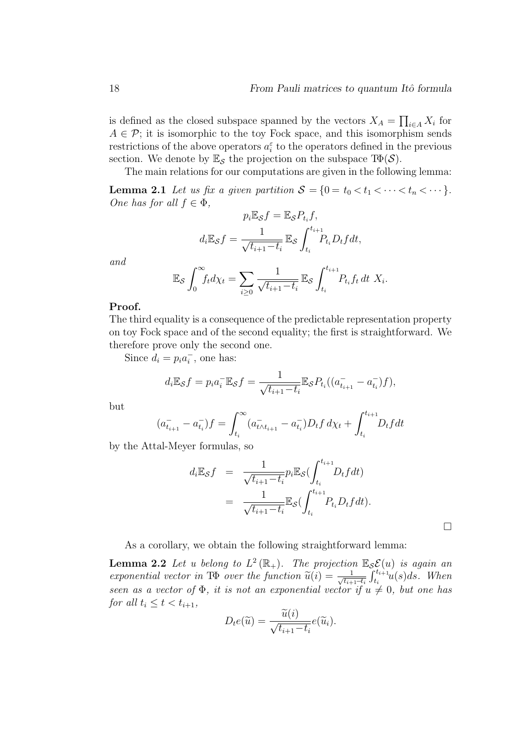is defined as the closed subspace spanned by the vectors  $X_A = \prod_{i \in A} X_i$  for  $A \in \mathcal{P}$ ; it is isomorphic to the toy Fock space, and this isomorphism sends restrictions of the above operators  $a_i^{\varepsilon}$  to the operators defined in the previous section. We denote by  $\mathbb{E}_{\mathcal{S}}$  the projection on the subspace  $T\Phi(\mathcal{S})$ .

The main relations for our computations are given in the following lemma:

**Lemma 2.1** Let us fix a given partition  $S = \{0 = t_0 < t_1 < \cdots < t_n < \cdots\}$ . One has for all  $f \in \Phi$ ,

$$
p_i \mathbb{E}_S f = \mathbb{E}_S P_{t_i} f,
$$
  

$$
d_i \mathbb{E}_S f = \frac{1}{\sqrt{t_{i+1} - t_i}} \mathbb{E}_S \int_{t_i}^{t_{i+1}} P_{t_i} D_t f dt,
$$

and

$$
\mathbb{E}_{\mathcal{S}} \int_0^\infty f_t d\chi_t = \sum_{i \ge 0} \frac{1}{\sqrt{t_{i+1} - t_i}} \mathbb{E}_{\mathcal{S}} \int_{t_i}^{t_{i+1}} P_{t_i} f_t dt \; X_i.
$$

#### Proof.

The third equality is a consequence of the predictable representation property on toy Fock space and of the second equality; the first is straightforward. We therefore prove only the second one.

Since  $d_i = p_i a_i^ \overline{i}$ , one has:

$$
d_i \mathbb{E}_{\mathcal{S}} f = p_i a_i^- \mathbb{E}_{\mathcal{S}} f = \frac{1}{\sqrt{t_{i+1} - t_i}} \mathbb{E}_{\mathcal{S}} P_{t_i} ((a_{t_{i+1}} - a_{t_i}) f),
$$

but

$$
(a_{t_{i+1}}^- - a_{t_i}^-)f = \int_{t_i}^{\infty} (a_{t \wedge t_{i+1}}^- - a_{t_i}^-)D_tf \, d\chi_t + \int_{t_i}^{t_{i+1}} D_tf \, dt
$$

by the Attal-Meyer formulas, so

$$
d_i \mathbb{E}_{\mathcal{S}} f = \frac{1}{\sqrt{t_{i+1} - t_i}} p_i \mathbb{E}_{\mathcal{S}} \left( \int_{t_i}^{t_{i+1}} D_t f dt \right)
$$
  
= 
$$
\frac{1}{\sqrt{t_{i+1} - t_i}} \mathbb{E}_{\mathcal{S}} \left( \int_{t_i}^{t_{i+1}} P_{t_i} D_t f dt \right).
$$

As a corollary, we obtain the following straightforward lemma:

**Lemma 2.2** Let u belong to  $L^2(\mathbb{R}_+)$ . The projection  $\mathbb{E}_{\mathcal{S}}\mathcal{E}(u)$  is again an exponential vector in TΦ over the function  $\tilde{u}(i) = \frac{1}{\sqrt{t_{i+1}}}$  $\frac{1}{\overline{t_{i+1}-t_i}} \overline{\int_{t_i}^{t_{i+1}} u(s) ds}$ . When seen as a vector of  $\Phi$ , it is not an exponential vector if  $u \neq 0$ , but one has for all  $t_i \leq t < t_{i+1}$ ,

$$
D_t e(\widetilde{u}) = \frac{\widetilde{u}(i)}{\sqrt{t_{i+1} - t_i}} e(\widetilde{u}_i).
$$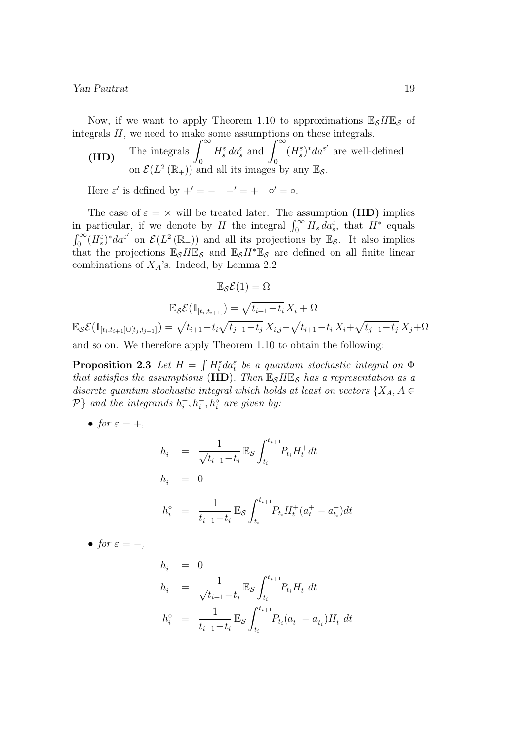Now, if we want to apply Theorem 1.10 to approximations  $\mathbb{E}_{\mathcal{S}}H\mathbb{E}_{\mathcal{S}}$  of integrals  $H$ , we need to make some assumptions on these integrals.

(HD) The integrals 
$$
\int_0^\infty H_s^\varepsilon da_s^\varepsilon
$$
 and  $\int_0^\infty (H_s^\varepsilon)^* da^{\varepsilon'}$  are well-defined  
on  $\mathcal{E}(L^2(\mathbb{R}_+))$  and all its images by any  $\mathbb{E}_{\mathcal{S}}$ .

Here  $\varepsilon'$  is defined by  $+/ -/ +$   $\circ'$  =  $\circ$ .

The case of  $\varepsilon = \times$  will be treated later. The assumption (HD) implies in particular, if we denote by H the integral  $\int_0^\infty H_s \, da_s^{\varepsilon}$ , that  $H^*$  equals  $\int_0^\infty (H_s^\varepsilon)^* da^{\varepsilon'}$  on  $\mathcal{E}(L^2(\mathbb{R}_+))$  and all its projections by  $\mathbb{E}_{\mathcal{S}}$ . It also implies that the projections  $\mathbb{E}_{\mathcal{S}}H\mathbb{E}_{\mathcal{S}}$  and  $\mathbb{E}_{\mathcal{S}}H^*\mathbb{E}_{\mathcal{S}}$  are defined on all finite linear combinations of  $X_A$ 's. Indeed, by Lemma 2.2

$$
\mathbb{E}_{\mathcal{S}}\mathcal{E}(1)=\Omega
$$

$$
\mathbb{E}_{\mathcal{S}} \mathcal{E}(\mathbb{1}_{[t_i, t_{i+1}]}) = \sqrt{t_{i+1} - t_i} \, X_i + \Omega
$$

 $\mathbb{E}_{\mathcal{S}} \mathcal{E} (\mathbb{1}_{[t_i, t_{i+1}] \cup [t_j, t_{j+1}]} ) = \sqrt{t_{i+1} \!-\! t_i} \sqrt{t_{j+1} \!-\! t_j} \, X_{i,j} {+} \sqrt{t_{i+1} \!-\! t_i} \, X_i {+} \sqrt{t_{j+1} \!-\! t_j} \, X_j {+} \Omega$ and so on. We therefore apply Theorem 1.10 to obtain the following:

**Proposition 2.3** Let  $H = \int H_t^{\varepsilon} d a_t^{\varepsilon}$  be a quantum stochastic integral on  $\Phi$ that satisfies the assumptions ( $HD$ ). Then  $\mathbb{E}_{\mathcal{S}} H \mathbb{E}_{\mathcal{S}}$  has a representation as a discrete quantum stochastic integral which holds at least on vectors  ${X_A, A \in \mathbb{R}^d}$  $P\}$  and the integrands  $h_i^+$  $i, h_i, h_i^{\circ}$  are given by:

• for  $\varepsilon = +$ ,

$$
h_i^+ = \frac{1}{\sqrt{t_{i+1} - t_i}} \mathbb{E}_{\mathcal{S}} \int_{t_i}^{t_{i+1}} P_{t_i} H_t^+ dt
$$
  

$$
h_i^- = 0
$$
  

$$
h_i^\circ = \frac{1}{t_{i+1} - t_i} \mathbb{E}_{\mathcal{S}} \int_{t_i}^{t_{i+1}} P_{t_i} H_t^+ (a_t^+ - a_{t_i}^+) dt
$$

• for  $\varepsilon = -$ ,

$$
h_i^+ = 0
$$
  
\n
$$
h_i^- = \frac{1}{\sqrt{t_{i+1} - t_i}} \mathbb{E}_{\mathcal{S}} \int_{t_i}^{t_{i+1}} P_{t_i} H_t^- dt
$$
  
\n
$$
h_i^{\circ} = \frac{1}{t_{i+1} - t_i} \mathbb{E}_{\mathcal{S}} \int_{t_i}^{t_{i+1}} P_{t_i} (a_t^- - a_{t_i}^-) H_t^- dt
$$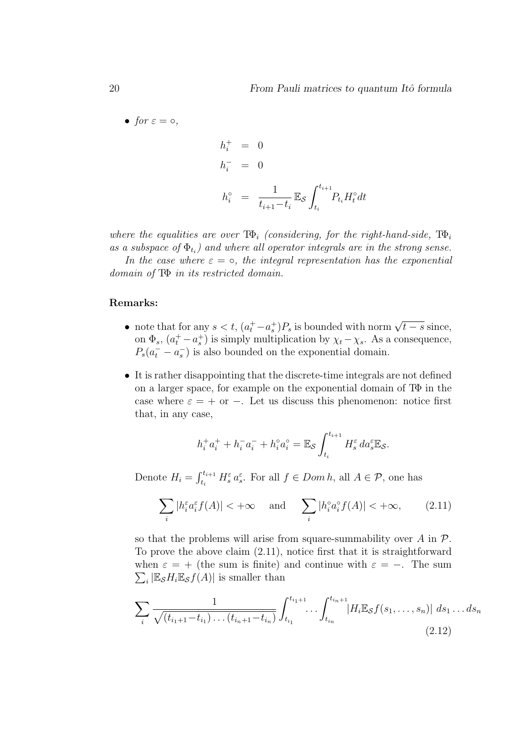• for  $\varepsilon = 0$ ,

$$
h_i^+ = 0
$$
  
\n
$$
h_i^- = 0
$$
  
\n
$$
h_i^\circ = \frac{1}{t_{i+1} - t_i} \mathbb{E}_{\mathcal{S}} \int_{t_i}^{t_{i+1}} P_{t_i} H_t^\circ dt
$$

where the equalities are over  $T\Phi_i$  (considering, for the right-hand-side,  $T\Phi_i$ as a subspace of  $\Phi_{t_i}$ ) and where all operator integrals are in the strong sense.

In the case where  $\varepsilon = \circ$ , the integral representation has the exponential domain of TΦ in its restricted domain.

## Remarks:

- note that for any  $s < t$ ,  $(a_t^+ a_s^+)P_s$  is bounded with norm  $\sqrt{t-s}$  since, on  $\Phi_s$ ,  $(a_t^+ - a_s^+)$  is simply multiplication by  $\chi_t - \chi_s$ . As a consequence,  $P_s(a_t^- - a_s^-)$  is also bounded on the exponential domain.
- It is rather disappointing that the discrete-time integrals are not defined on a larger space, for example on the exponential domain of TΦ in the case where  $\varepsilon = +$  or  $-$ . Let us discuss this phenomenon: notice first that, in any case,

$$
h_i^+ a_i^+ + h_i^- a_i^- + h_i^\circ a_i^\circ = \mathbb{E}_{\mathcal{S}} \int_{t_i}^{t_{i+1}} H_s^\varepsilon \, da_s^\varepsilon \mathbb{E}_{\mathcal{S}}.
$$

Denote  $H_i = \int_{t_i}^{t_{i+1}} H_s^{\varepsilon} a_s^{\varepsilon}$ . For all  $f \in Dom h$ , all  $A \in \mathcal{P}$ , one has

$$
\sum_{i} |h_i^{\varepsilon} a_i^{\varepsilon} f(A)| < +\infty \quad \text{ and } \quad \sum_{i} |h_i^{\circ} a_i^{\circ} f(A)| < +\infty, \tag{2.11}
$$

so that the problems will arise from square-summability over A in  $\mathcal P$ . To prove the above claim (2.11), notice first that it is straightforward  $\sum_i |\mathbb{E}_{\mathcal{S}} H_i \mathbb{E}_{\mathcal{S}} f(A)|$  is smaller than when  $\varepsilon = +$  (the sum is finite) and continue with  $\varepsilon = -$ . The sum

$$
\sum_{i} \frac{1}{\sqrt{(t_{i_1+1}-t_{i_1})\dots(t_{i_n+1}-t_{i_n})}} \int_{t_{i_1}}^{t_{i_1+1}} \dots \int_{t_{i_n}}^{t_{i_n+1}} |H_i \mathbb{E}_{\mathcal{S}} f(s_1,\dots,s_n)| ds_1 \dots ds_n
$$
\n(2.12)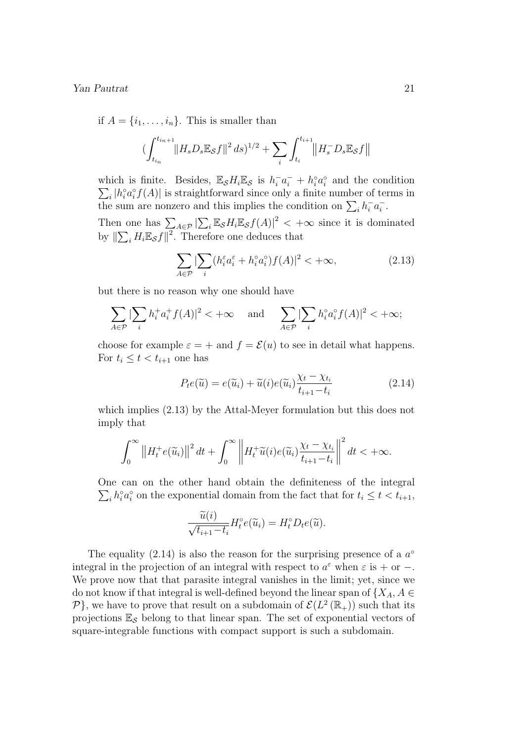if  $A = \{i_1, \ldots, i_n\}$ . This is smaller than

$$
\left(\int_{t_{i_n}}^{t_{i_n+1}} \lVert H_s D_s \mathbb{E}_{\mathcal{S}} f \rVert^2 ds\right)^{1/2} + \sum_i \int_{t_i}^{t_{i+1}} \lVert H_s^{-} D_s \mathbb{E}_{\mathcal{S}} f \rVert
$$

which is finite. Besides,  $\mathbb{E}_{\mathcal{S}} H_i \mathbb{E}_{\mathcal{S}}$  is  $h_i^- a_i^- + h_i^{\circ} a_i^{\circ}$  and the condition  $\sum_i |h_i^{\circ} a_i^{\circ} f(A)|$  is straightforward since only a finite number of terms in the sum are nonzero and this implies the condition on  $\sum_i h_i^- a_i^ \frac{-}{i}$ .

Then one has  $\sum_{A \in \mathcal{P}} \left| \sum_i \mathbb{E}_{\mathcal{S}} H_i \mathbb{E}_{\mathcal{S}} f(A) \right|^2 < +\infty$  since it is dominated by  $\left\Vert \sum_{i} H_{i} \mathbb{E}_{\mathcal{S}} f \right\Vert^{2}$ . Therefore one deduces that

$$
\sum_{A \in \mathcal{P}} |\sum_{i} (h_i^{\varepsilon} a_i^{\varepsilon} + h_i^{\circ} a_i^{\circ}) f(A)|^2 < +\infty,\tag{2.13}
$$

but there is no reason why one should have

$$
\sum_{A \in \mathcal{P}} |\sum_{i} h_i^+ a_i^+ f(A)|^2 < +\infty \quad \text{and} \quad \sum_{A \in \mathcal{P}} |\sum_{i} h_i^{\circ} a_i^{\circ} f(A)|^2 < +\infty;
$$

choose for example  $\varepsilon = +$  and  $f = \mathcal{E}(u)$  to see in detail what happens. For  $t_i \leq t < t_{i+1}$  one has

$$
P_t e(\widetilde{u}) = e(\widetilde{u}_i) + \widetilde{u}(i)e(\widetilde{u}_i)\frac{\chi_t - \chi_{t_i}}{t_{i+1} - t_i}
$$
\n(2.14)

which implies (2.13) by the Attal-Meyer formulation but this does not imply that

$$
\int_0^\infty \left\|H_t^+e(\widetilde{u}_i)\right\|^2 dt + \int_0^\infty \left\|H_t^+ \widetilde{u}(i)e(\widetilde{u}_i)\frac{\chi_t-\chi_{t_i}}{t_{i+1}-t_i}\right\|^2 dt < +\infty.
$$

One can on the other hand obtain the definiteness of the integral  $\sum_i h_i^{\circ} a_i^{\circ}$  on the exponential domain from the fact that for  $t_i \leq t < t_{i+1}$ ,

$$
\frac{\widetilde{u}(i)}{\sqrt{t_{i+1}-t_i}}H_t^{\circ}e(\widetilde{u}_i)=H_t^{\circ}D_te(\widetilde{u}).
$$

The equality (2.14) is also the reason for the surprising presence of a  $a^{\circ}$ integral in the projection of an integral with respect to  $a^{\varepsilon}$  when  $\varepsilon$  is + or -. We prove now that that parasite integral vanishes in the limit; yet, since we do not know if that integral is well-defined beyond the linear span of  $\{X_A, A \in$  $\mathcal{P}$ , we have to prove that result on a subdomain of  $\mathcal{E}(L^2(\mathbb{R}_+))$  such that its projections  $\mathbb{E}_{\mathcal{S}}$  belong to that linear span. The set of exponential vectors of square-integrable functions with compact support is such a subdomain.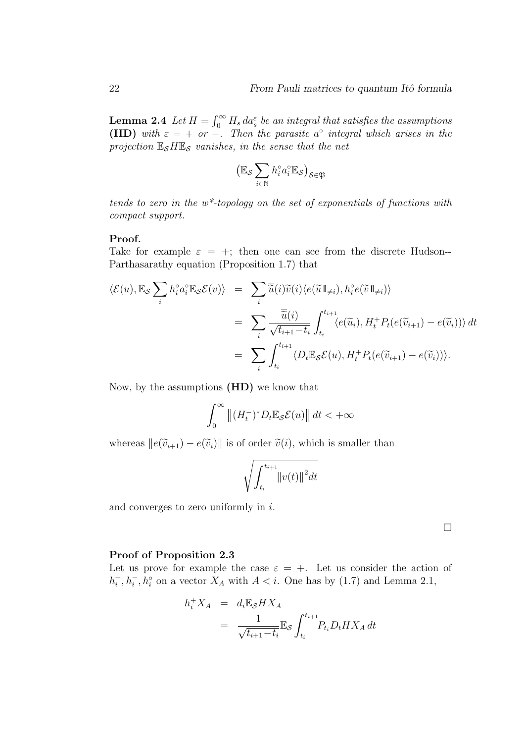**Lemma 2.4** Let  $H = \int_0^\infty H_s \, da_s^{\varepsilon}$  be an integral that satisfies the assumptions (HD) with  $\varepsilon = +$  or  $-$ . Then the parasite  $a^{\circ}$  integral which arises in the projection  $\mathbb{E}_{\mathcal{S}} H \mathbb{E}_{\mathcal{S}}$  vanishes, in the sense that the net

$$
\left(\mathbb{E}_{\mathcal{S}}\sum_{i\in\mathbb{N}}h_i^{\circ}a_i^{\circ}\mathbb{E}_{\mathcal{S}}\right)_{\mathcal{S}\in\mathfrak{P}}
$$

tends to zero in the w\*-topology on the set of exponentials of functions with compact support.

## Proof.

Take for example  $\varepsilon = +$ ; then one can see from the discrete Hudson--Parthasarathy equation (Proposition 1.7) that

$$
\langle \mathcal{E}(u), \mathbb{E}_{\mathcal{S}} \sum_{i} h_i^{\circ} a_i^{\circ} \mathbb{E}_{\mathcal{S}} \mathcal{E}(v) \rangle = \sum_{i} \overline{\widetilde{u}}(i) \widetilde{v}(i) \langle e(\widetilde{u} \mathbb{1}_{\neq i}), h_i^{\circ} e(\widetilde{v} \mathbb{1}_{\neq i}) \rangle
$$
  
\n
$$
= \sum_{i} \frac{\overline{\widetilde{u}}(i)}{\sqrt{t_{i+1} - t_i}} \int_{t_i}^{t_{i+1}} \langle e(\widetilde{u}_i), H_t^+ P_t(e(\widetilde{v}_{i+1}) - e(\widetilde{v}_i)) \rangle dt
$$
  
\n
$$
= \sum_{i} \int_{t_i}^{t_{i+1}} \langle D_t \mathbb{E}_{\mathcal{S}} \mathcal{E}(u), H_t^+ P_t(e(\widetilde{v}_{i+1}) - e(\widetilde{v}_i)) \rangle.
$$

Now, by the assumptions (HD) we know that

$$
\int_0^\infty \left\| (H_t^-)^* D_t \mathbb{E}_{\mathcal{S}} \mathcal{E}(u) \right\| dt < +\infty
$$

whereas  $||e(\widetilde{v}_{i+1}) - e(\widetilde{v}_i)||$  is of order  $\widetilde{v}(i)$ , which is smaller than

$$
\sqrt{\int_{t_i}^{t_{i+1}} \|v(t)\|^2 dt}
$$

and converges to zero uniformly in  $i$ .

 $\Box$ 

#### Proof of Proposition 2.3

Let us prove for example the case  $\varepsilon = +$ . Let us consider the action of  $h_i^+$  $i, h_i, h_i^{\circ}$  on a vector  $X_A$  with  $A < i$ . One has by (1.7) and Lemma 2.1,

$$
h_i^+ X_A = d_i \mathbb{E}_{\mathcal{S}} H X_A
$$
  
= 
$$
\frac{1}{\sqrt{t_{i+1} - t_i}} \mathbb{E}_{\mathcal{S}} \int_{t_i}^{t_{i+1}} P_{t_i} D_t H X_A dt
$$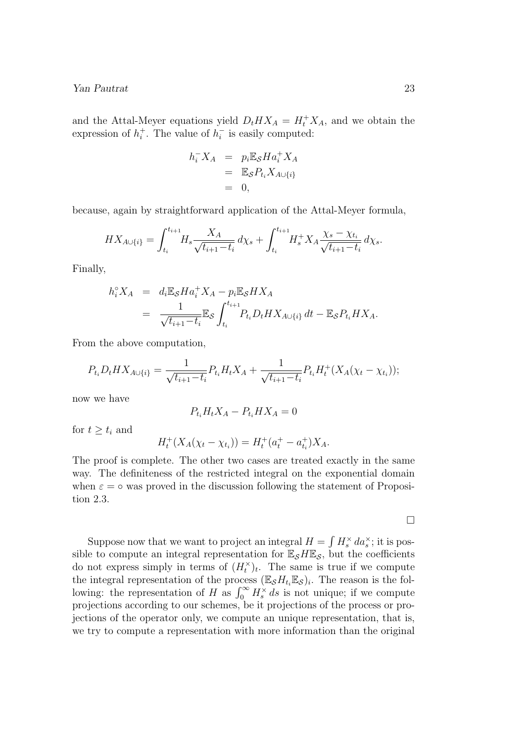and the Attal-Meyer equations yield  $D_t H X_A = H_t^+ X_A$ , and we obtain the expression of  $h_i^+$ <sup>+</sup>. The value of  $h_i^ \overline{i}$  is easily computed:

$$
h_i^- X_A = p_i \mathbb{E}_{\mathcal{S}} H a_i^+ X_A
$$
  
=  $\mathbb{E}_{\mathcal{S}} P_{t_i} X_{A \cup \{i\}}$   
= 0,

because, again by straightforward application of the Attal-Meyer formula,

$$
HX_{A\cup\{i\}} = \int_{t_i}^{t_{i+1}} H_s \frac{X_A}{\sqrt{t_{i+1} - t_i}} \, d\chi_s + \int_{t_i}^{t_{i+1}} H_s^+ X_A \frac{\chi_s - \chi_{t_i}}{\sqrt{t_{i+1} - t_i}} \, d\chi_s.
$$

Finally,

$$
h_i^{\circ} X_A = d_i \mathbb{E}_{\mathcal{S}} H a_i^+ X_A - p_i \mathbb{E}_{\mathcal{S}} H X_A
$$
  
= 
$$
\frac{1}{\sqrt{t_{i+1} - t_i}} \mathbb{E}_{\mathcal{S}} \int_{t_i}^{t_{i+1}} P_{t_i} D_t H X_{A \cup \{i\}} dt - \mathbb{E}_{\mathcal{S}} P_{t_i} H X_A.
$$

From the above computation,

$$
P_{t_i} D_t H X_{A \cup \{i\}} = \frac{1}{\sqrt{t_{i+1} - t_i}} P_{t_i} H_t X_A + \frac{1}{\sqrt{t_{i+1} - t_i}} P_{t_i} H_t^+(X_A(\chi_t - \chi_{t_i}));
$$

now we have

$$
P_{t_i}H_tX_A - P_{t_i}HX_A = 0
$$

for  $t \geq t_i$  and

$$
H_t^+(X_A(\chi_t - \chi_{t_i})) = H_t^+(a_t^+ - a_{t_i}^+)X_A.
$$

The proof is complete. The other two cases are treated exactly in the same way. The definiteness of the restricted integral on the exponential domain when  $\varepsilon = \circ$  was proved in the discussion following the statement of Proposition 2.3.

 $\Box$ 

Suppose now that we want to project an integral  $H = \int H_s^{\times} da_s^{\times}$ ; it is possible to compute an integral representation for  $\mathbb{E}_{\mathcal{S}} H \mathbb{E}_{\mathcal{S}}$ , but the coefficients do not express simply in terms of  $(H_t^{\times})_t$ . The same is true if we compute the integral representation of the process  $(\mathbb{E}_{\mathcal{S}}H_{t_i}\mathbb{E}_{\mathcal{S}})_i$ . The reason is the following: the representation of H as  $\int_0^\infty H_s^{\times} ds$  is not unique; if we compute projections according to our schemes, be it projections of the process or projections of the operator only, we compute an unique representation, that is, we try to compute a representation with more information than the original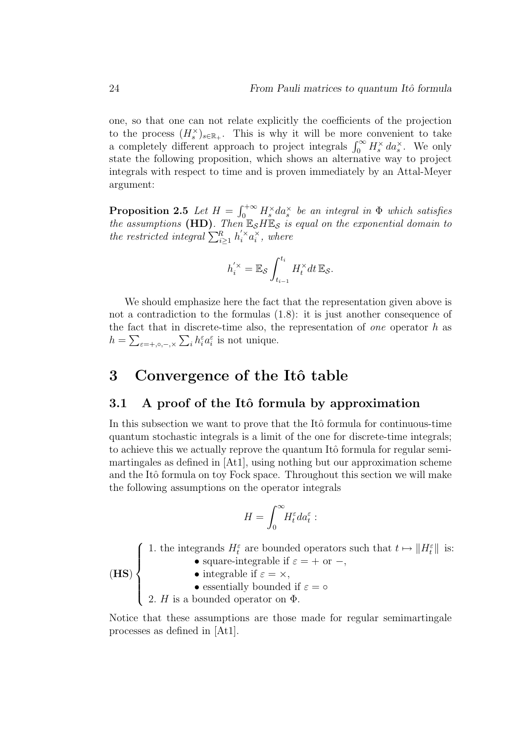one, so that one can not relate explicitly the coefficients of the projection to the process  $(H_s^{\times})_{s\in\mathbb{R}_+}$ . This is why it will be more convenient to take a completely different approach to project integrals  $\int_0^\infty H_s^{\times} da_s^{\times}$ . We only state the following proposition, which shows an alternative way to project integrals with respect to time and is proven immediately by an Attal-Meyer argument:

**Proposition 2.5** Let  $H = \int_0^{+\infty} H_s^{\times} da_s^{\times}$  be an integral in  $\Phi$  which satisfies the assumptions (HD). Then  $\mathbb{E}_{\mathcal{S}}H\mathbb{E}_{\mathcal{S}}$  is equal on the exponential domain to the restricted integral  $\sum_{i=1}^R h'_i \times a_i$  $\chi_i^{\times}$ , where

$$
h_i^{'\times} = \mathbb{E}_{\mathcal{S}} \int_{t_{i-1}}^{t_i} H_t^{\times} dt \, \mathbb{E}_{\mathcal{S}}.
$$

We should emphasize here the fact that the representation given above is not a contradiction to the formulas (1.8): it is just another consequence of the fact that in discrete-time also, the representation of one operator  $h$  as  $h = \sum_{\varepsilon = +, \circ, -,\times} \sum_i h_i^{\varepsilon} a_i^{\varepsilon}$  is not unique.

# 3 Convergence of the Itô table

# 3.1 A proof of the Itô formula by approximation

In this subsection we want to prove that the Itô formula for continuous-time quantum stochastic integrals is a limit of the one for discrete-time integrals; to achieve this we actually reprove the quantum Itô formula for regular semimartingales as defined in [At1], using nothing but our approximation scheme and the Itô formula on toy Fock space. Throughout this section we will make the following assumptions on the operator integrals

$$
H=\int_0^\infty \!\! H^\varepsilon_t da^\varepsilon_t:
$$

 $(HS)$  $\sqrt{ }$  $\int$  $\overline{\mathcal{L}}$ 1. the integrands  $H_t^{\varepsilon}$  are bounded operators such that  $t \mapsto \|H_t^{\varepsilon}\|$  is: • square-integrable if  $\varepsilon = +$  or  $-$ , • integrable if  $\varepsilon = \times$ , • essentially bounded if  $\varepsilon = \infty$ 2. H is a bounded operator on  $\Phi$ .

Notice that these assumptions are those made for regular semimartingale processes as defined in [At1].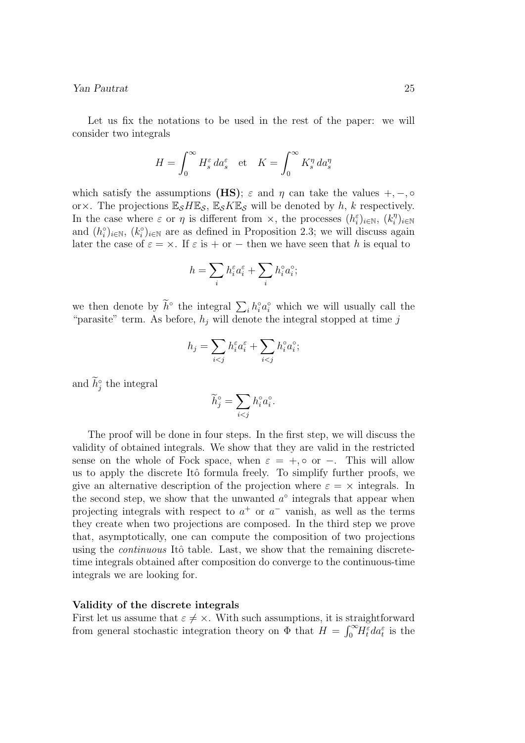Let us fix the notations to be used in the rest of the paper: we will consider two integrals

$$
H = \int_0^\infty H_s^\varepsilon \, da_s^\varepsilon \quad \text{et} \quad K = \int_0^\infty K_s^\eta \, da_s^\eta
$$

which satisfy the assumptions (HS);  $\varepsilon$  and  $\eta$  can take the values +, −, ◦ or×. The projections  $\mathbb{E}_{\mathcal{S}} H \mathbb{E}_{\mathcal{S}}$ ,  $\mathbb{E}_{\mathcal{S}} K \mathbb{E}_{\mathcal{S}}$  will be denoted by h, k respectively. In the case where  $\varepsilon$  or  $\eta$  is different from  $\times$ , the processes  $(h_i^{\varepsilon})_{i\in\mathbb{N}}, (k_i^{\eta})_{i\in\mathbb{N}}$  $\binom{n}{i}$  $i \in \mathbb{N}$ and  $(h_i^{\circ})_{i\in\mathbb{N}}$ ,  $(k_i^{\circ})_{i\in\mathbb{N}}$  are as defined in Proposition 2.3; we will discuss again later the case of  $\varepsilon = \times$ . If  $\varepsilon$  is + or − then we have seen that h is equal to

$$
h=\sum_i h_i^\varepsilon a_i^\varepsilon+\sum_i h_i^\circ a_i^\circ;
$$

we then denote by  $\hat{h}^{\circ}$  the integral  $\sum_i h_i^{\circ} a_i^{\circ}$  which we will usually call the "parasite" term. As before,  $h_j$  will denote the integral stopped at time j

$$
h_j = \sum_{i < j} h_i^\varepsilon a_i^\varepsilon + \sum_{i < j} h_i^\circ a_i^\circ;
$$

and  $h_j^{\circ}$  the integral

$$
\widetilde{h}_j^\circ = \sum_{i < j} h_i^\circ a_i^\circ.
$$

The proof will be done in four steps. In the first step, we will discuss the validity of obtained integrals. We show that they are valid in the restricted sense on the whole of Fock space, when  $\varepsilon = +$ ,  $\circ$  or  $-$ . This will allow us to apply the discrete Itô formula freely. To simplify further proofs, we give an alternative description of the projection where  $\varepsilon = \times$  integrals. In the second step, we show that the unwanted  $a^{\circ}$  integrals that appear when projecting integrals with respect to  $a^+$  or  $a^-$  vanish, as well as the terms they create when two projections are composed. In the third step we prove that, asymptotically, one can compute the composition of two projections using the *continuous* Itô table. Last, we show that the remaining discretetime integrals obtained after composition do converge to the continuous-time integrals we are looking for.

#### Validity of the discrete integrals

First let us assume that  $\varepsilon \neq \infty$ . With such assumptions, it is straightforward from general stochastic integration theory on  $\Phi$  that  $H = \int_0^\infty H_t^{\varepsilon} d a_t^{\varepsilon}$  is the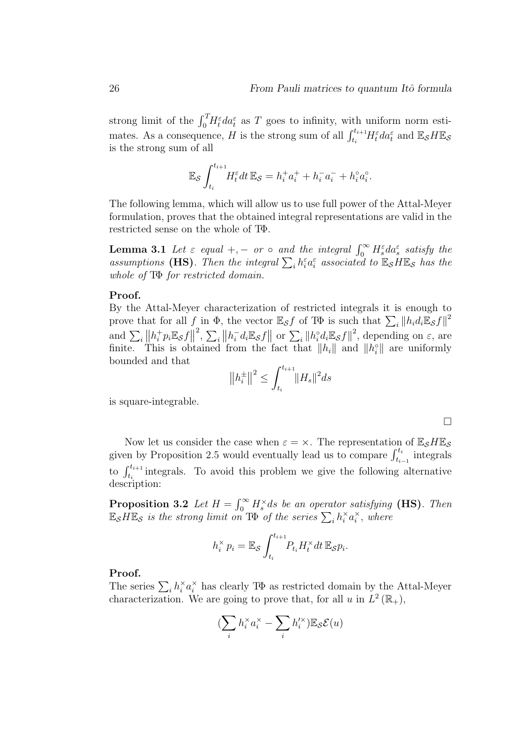strong limit of the  $\int_0^T H_t^{\varepsilon} d a_t^{\varepsilon}$  as T goes to infinity, with uniform norm estimates. As a consequence, H is the strong sum of all  $\int_{t_i}^{t_{i+1}} H_t^{\varepsilon} d a_t^{\varepsilon}$  and  $\mathbb{E}_{\mathcal{S}} H \mathbb{E}_{\mathcal{S}}$ is the strong sum of all

$$
\mathbb{E}_{\mathcal{S}} \int_{t_i}^{t_{i+1}} H_t^{\varepsilon} dt \, \mathbb{E}_{\mathcal{S}} = h_i^+ a_i^+ + h_i^- a_i^- + h_i^{\circ} a_i^{\circ}.
$$

The following lemma, which will allow us to use full power of the Attal-Meyer formulation, proves that the obtained integral representations are valid in the restricted sense on the whole of TΦ.

**Lemma 3.1** Let  $\varepsilon$  equal +, – or  $\circ$  and the integral  $\int_0^\infty H_s^{\varepsilon} da_s^{\varepsilon}$  satisfy the assumptions (HS). Then the integral  $\sum_i h_i^{\varepsilon} a_i^{\varepsilon}$  associated to  $\mathbb{E}_{\mathcal{S}} H \mathbb{E}_{\mathcal{S}}$  has the whole of  $T\Phi$  for restricted domain.

## Proof.

By the Attal-Meyer characterization of restricted integrals it is enough to prove that for all  $f \in \Phi$ , the vector  $\mathbb{E}_{\mathcal{S}} f$  of T $\Phi$  is such that  $\sum_i ||h_i d_i \mathbb{E}_{\mathcal{S}} f||^2$ and  $\sum_i ||h_i^+$  $\binom{+}{i} p_i \mathbb{E}_{\mathcal{S}} f$ <sup>2</sup>,  $\sum_i ||h_i^ \|\vec{a}_i\| \leq \frac{1}{2} \|\vec{b}_i\| \leq \frac{1}{2} \|\vec{b}_i\| \leq \frac{1}{2} \|\vec{b}_i\| \leq \frac{1}{2} \|\vec{b}_i\| \leq \frac{1}{2} \|\vec{b}_i\| \leq \frac{1}{2} \|\vec{b}_i\| \leq \frac{1}{2} \|\vec{b}_i\| \leq \frac{1}{2} \|\vec{b}_i\| \leq \frac{1}{2} \|\vec{b}_i\| \leq \frac{1}{2} \|\vec{b}_i\| \leq \frac{1}{2} \|\vec{b}_i\| \le$ finite. This is obtained from the fact that  $||h_i||$  and  $||h_i^{\circ}||$  are uniformly bounded and that

$$
\left\|h_{i}^{\pm}\right\|^{2} \leq \int_{t_{i}}^{t_{i+1}} \lVert H_s \rVert^{2} ds
$$

is square-integrable.

 $\Box$ 

Now let us consider the case when  $\varepsilon = \times$ . The representation of  $\mathbb{E}_{\mathcal{S}} H \mathbb{E}_{\mathcal{S}}$ given by Proposition 2.5 would eventually lead us to compare  $\int_{t_{i-1}}^{t_i}$  integrals to  $\int_{t_i}^{t_{i+1}}$  integrals. To avoid this problem we give the following alternative description:

**Proposition 3.2** Let  $H = \int_0^\infty H_s^{\times} ds$  be an operator satisfying (HS). Then  $\mathbb{E}_{\mathcal{S}} H \mathbb{E}_{\mathcal{S}}$  is the strong limit on  $\mathbb{T} \Phi$  of the series  $\sum_i h_i^{\times} a_i^{\times}$  $\chi_i^{\times}$ , where

$$
h_i^{\times} p_i = \mathbb{E}_{\mathcal{S}} \int_{t_i}^{t_{i+1}} P_{t_i} H_t^{\times} dt \, \mathbb{E}_{\mathcal{S}} p_i.
$$

Proof.

The series  $\sum_i h_i^{\times} a_i^{\times}$  has clearly TΦ as restricted domain by the Attal-Meyer characterization. We are going to prove that, for all u in  $L^2(\mathbb{R}_+),$ 

$$
(\sum_i h_i^\times a_i^\times - \sum_i h_i^{\prime \times}) \mathbb{E}_{\mathcal{S}} \mathcal{E}(u)
$$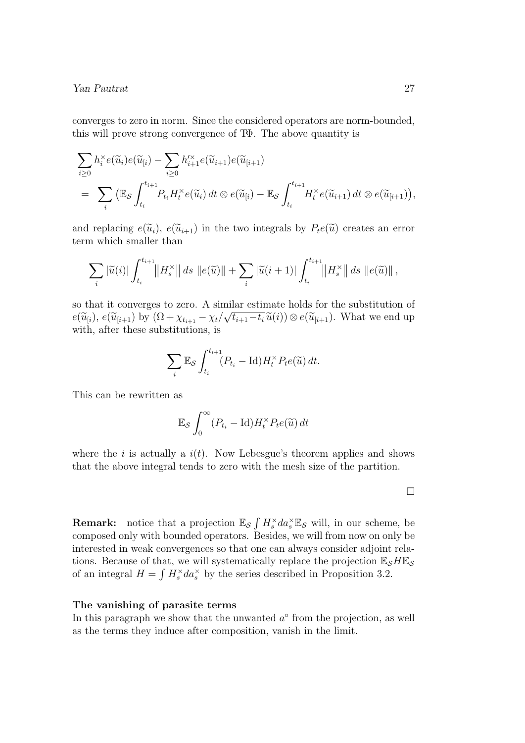converges to zero in norm. Since the considered operators are norm-bounded, this will prove strong convergence of TΦ. The above quantity is

$$
\sum_{i\geq 0} h_i^{\times} e(\widetilde{u}_i) e(\widetilde{u}_{[i)} - \sum_{i\geq 0} h_{i+1}^{\times} e(\widetilde{u}_{i+1}) e(\widetilde{u}_{[i+1})
$$
\n
$$
= \sum_i (\mathbb{E}_{\mathcal{S}} \int_{t_i}^{t_{i+1}} P_{t_i} H_t^{\times} e(\widetilde{u}_i) dt \otimes e(\widetilde{u}_{[i]} - \mathbb{E}_{\mathcal{S}} \int_{t_i}^{t_{i+1}} H_t^{\times} e(\widetilde{u}_{i+1}) dt \otimes e(\widetilde{u}_{[i+1]}),
$$

and replacing  $e(\widetilde{u}_i), e(\widetilde{u}_{i+1})$  in the two integrals by  $P_t e(\widetilde{u})$  creates an error term which smaller than

$$
\sum_{i} |\widetilde{u}(i)| \int_{t_i}^{t_{i+1}} \left\| H_s^{\times} \right\| ds \, \|e(\widetilde{u})\| + \sum_{i} |\widetilde{u}(i+1)| \int_{t_i}^{t_{i+1}} \left\| H_s^{\times} \right\| ds \, \|e(\widetilde{u})\|,
$$

so that it converges to zero. A similar estimate holds for the substitution of  $e(\widetilde{u}_{[i}), e(\widetilde{u}_{[i+1})$  by  $(\Omega + \chi_{t_{i+1}} - \chi_t/\sqrt{t_{i+1} - t_i} \widetilde{u}(i)) \otimes e(\widetilde{u}_{[i+1})$ . What we end up with, after these substitutions, is

$$
\sum_{i} \mathbb{E}_{\mathcal{S}} \int_{t_i}^{t_{i+1}} (P_{t_i} - \mathrm{Id}) H_t^{\times} P_t e(\widetilde{u}) dt.
$$

This can be rewritten as

$$
\mathbb{E}_{\mathcal{S}} \int_0^\infty (P_{t_i} - \mathrm{Id}) H_t^\times P_t e(\widetilde{u}) dt
$$

where the *i* is actually a  $i(t)$ . Now Lebesgue's theorem applies and shows that the above integral tends to zero with the mesh size of the partition.

 $\Box$ 

**Remark:** notice that a projection  $\mathbb{E}_{\mathcal{S}} \int H_s^{\times} da_s^{\times} \mathbb{E}_{\mathcal{S}}$  will, in our scheme, be composed only with bounded operators. Besides, we will from now on only be interested in weak convergences so that one can always consider adjoint relations. Because of that, we will systematically replace the projection  $\mathbb{E}_{\mathcal{S}} H \mathbb{E}_{\mathcal{S}}$ of an integral  $H = \int H_s^{\times} da_s^{\times}$  by the series described in Proposition 3.2.

### The vanishing of parasite terms

In this paragraph we show that the unwanted  $a^{\circ}$  from the projection, as well as the terms they induce after composition, vanish in the limit.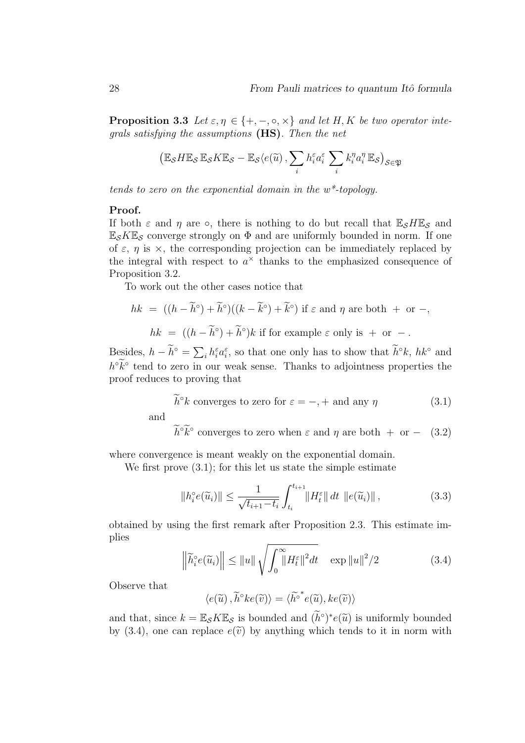**Proposition 3.3** Let  $\varepsilon, \eta \in \{+, -, \circ, \times\}$  and let H, K be two operator integrals satisfying the assumptions (HS). Then the net

$$
\left(\mathbb{E}_{\mathcal{S}}H\mathbb{E}_{\mathcal{S}}\,\mathbb{E}_{\mathcal{S}}K\mathbb{E}_{\mathcal{S}}-\mathbb{E}_{\mathcal{S}}\langle e(\widetilde{u})\,,\sum_i h_i^\varepsilon a_i^\varepsilon\,\sum_i k_i^\eta a_i^\eta\,\mathbb{E}_{\mathcal{S}}\right)_{\mathcal{S}\in\mathfrak{P}}
$$

tends to zero on the exponential domain in the w\*-topology.

#### Proof.

If both  $\varepsilon$  and  $\eta$  are  $\circ$ , there is nothing to do but recall that  $\mathbb{E}_{\mathcal{S}}H\mathbb{E}_{\mathcal{S}}$  and  $\mathbb{E}_{\mathcal{S}} K \mathbb{E}_{\mathcal{S}}$  converge strongly on  $\Phi$  and are uniformly bounded in norm. If one of  $\varepsilon$ ,  $\eta$  is  $\times$ , the corresponding projection can be immediately replaced by the integral with respect to  $a^{\times}$  thanks to the emphasized consequence of Proposition 3.2.

To work out the other cases notice that

$$
hk = ((h - \widetilde{h}^{\circ}) + \widetilde{h}^{\circ})((k - \widetilde{k}^{\circ}) + \widetilde{k}^{\circ}) \text{ if } \varepsilon \text{ and } \eta \text{ are both } + \text{ or } -,
$$
  

$$
hk = ((h - \widetilde{h}^{\circ}) + \widetilde{h}^{\circ})k \text{ if for example } \varepsilon \text{ only is } + \text{ or } -.
$$

Besides,  $h - \tilde{h}^{\circ} = \sum_{i} h_i^{\varepsilon} a_i^{\varepsilon}$ , so that one only has to show that  $\tilde{h}^{\circ} k$ ,  $hk^{\circ}$  and  $h^{\circ}k^{\circ}$  tend to zero in our weak sense. Thanks to adjointness properties the proof reduces to proving that

$$
\tilde{h}^{\circ}k
$$
 converges to zero for  $\varepsilon = -, +$  and any  $\eta$  (3.1)

$$
\widetilde{h}^{\circ}\widetilde{k}^{\circ}
$$
 converges to zero when  $\varepsilon$  and  $\eta$  are both + or - (3.2)

where convergence is meant weakly on the exponential domain.

We first prove  $(3.1)$ ; for this let us state the simple estimate

$$
||h_i^{\circ}e(\widetilde{u}_i)|| \le \frac{1}{\sqrt{t_{i+1}-t_i}} \int_{t_i}^{t_{i+1}} ||H_t^{\varepsilon}|| \, dt \, ||e(\widetilde{u}_i)|| \,, \tag{3.3}
$$

obtained by using the first remark after Proposition 2.3. This estimate implies

$$
\left\| \widetilde{h}_i^\circ e(\widetilde{u}_i) \right\| \le \|u\| \sqrt{\int_0^\infty \|H_t^\varepsilon\|^2 dt} \quad \exp \|u\|^2 / 2 \tag{3.4}
$$

Observe that

and

$$
\langle e(\widetilde{u}), \widetilde{h}^{\circ}ke(\widetilde{v})\rangle = \langle \widetilde{h^{\circ}}^*e(\widetilde{u}), ke(\widetilde{v})\rangle
$$

and that, since  $k = \mathbb{E}_{\mathcal{S}} K \mathbb{E}_{\mathcal{S}}$  is bounded and  $(\tilde{h}^{\circ})^* e(\tilde{u})$  is uniformly bounded<br>by (3.4) one can replace  $e(\tilde{u})$  by anything which tods to it in norm with by (3.4), one can replace  $e(\tilde{v})$  by anything which tends to it in norm with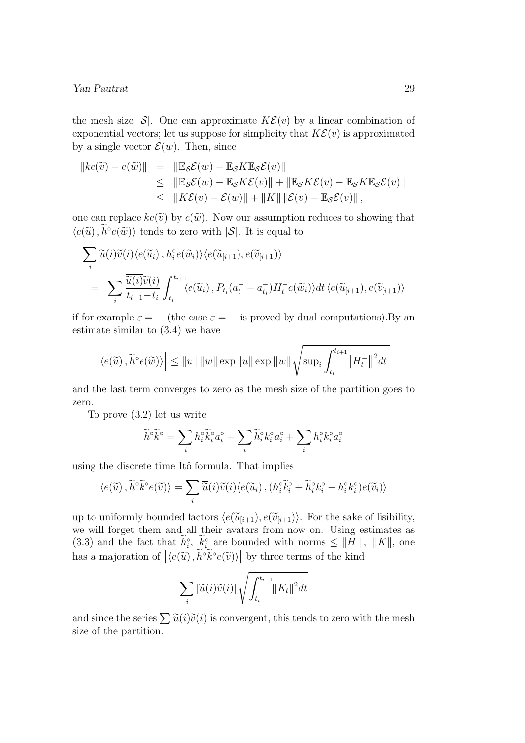the mesh size  $|\mathcal{S}|$ . One can approximate  $K\mathcal{E}(v)$  by a linear combination of exponential vectors; let us suppose for simplicity that  $K\mathcal{E}(v)$  is approximated by a single vector  $\mathcal{E}(w)$ . Then, since

$$
||ke(\widetilde{v}) - e(\widetilde{w})|| = ||\mathbb{E}_{\mathcal{S}} \mathcal{E}(w) - \mathbb{E}_{\mathcal{S}} K \mathbb{E}_{\mathcal{S}} \mathcal{E}(v)||
$$
  
\n
$$
\leq ||\mathbb{E}_{\mathcal{S}} \mathcal{E}(w) - \mathbb{E}_{\mathcal{S}} K \mathcal{E}(v)|| + ||\mathbb{E}_{\mathcal{S}} K \mathcal{E}(v) - \mathbb{E}_{\mathcal{S}} K \mathbb{E}_{\mathcal{S}} \mathcal{E}(v)||
$$
  
\n
$$
\leq ||K\mathcal{E}(v) - \mathcal{E}(w)|| + ||K|| ||\mathcal{E}(v) - \mathbb{E}_{\mathcal{S}} \mathcal{E}(v)||,
$$

one can replace  $ke(\tilde{v})$  by  $e(\tilde{w})$ . Now our assumption reduces to showing that  $\langle e(\tilde{u}), h^{\circ}e(\tilde{w})\rangle$  tends to zero with  $|\mathcal{S}|$ . It is equal to

$$
\sum_{i} \overline{\widetilde{u}(i)} \widetilde{v}(i) \langle e(\widetilde{u}_i), h_i^{\circ} e(\widetilde{w}_i) \rangle \langle e(\widetilde{u}_{[i+1}), e(\widetilde{v}_{[i+1}) \rangle
$$
\n
$$
= \sum_{i} \overline{\frac{\widetilde{u}(i)}{\widetilde{v}(i)}} \int_{t_i}^{t_{i+1}} \langle e(\widetilde{u}_i), P_{t_i}(a_t^- - a_{t_i}^-) H_t^- e(\widetilde{w}_i) \rangle dt \langle e(\widetilde{u}_{[i+1}), e(\widetilde{v}_{[i+1}) \rangle
$$

if for example  $\varepsilon = -$  (the case  $\varepsilon = +$  is proved by dual computations). By an estimate similar to (3.4) we have

$$
\left|\langle e(\widetilde{u}),\widetilde{h}^{\circ}e(\widetilde{w})\rangle\right| \leq \|u\| \|w\| \exp\|u\| \exp\|w\| \sqrt{\sup_i \int_{t_i}^{t_{i+1}} \bigl\|H_t^-\bigr\|^2 dt}
$$

and the last term converges to zero as the mesh size of the partition goes to zero.

To prove (3.2) let us write

$$
\widetilde{h}^{\circ}\widetilde{k}^{\circ} = \sum_{i} h_{i}^{\circ}\widetilde{k}_{i}^{\circ}a_{i}^{\circ} + \sum_{i} \widetilde{h}_{i}^{\circ}k_{i}^{\circ}a_{i}^{\circ} + \sum_{i} h_{i}^{\circ}k_{i}^{\circ}a_{i}^{\circ}
$$

using the discrete time Itô formula. That implies

$$
\langle e(\widetilde{u}), \widetilde{h}^{\circ}\widetilde{k}^{\circ}e(\widetilde{v})\rangle = \sum_{i} \overline{\widetilde{u}}(i)\widetilde{v}(i)\langle e(\widetilde{u}_{i}), (h_{i}^{\circ}\widetilde{k}_{i}^{\circ} + \widetilde{h}_{i}^{\circ}k_{i}^{\circ} + h_{i}^{\circ}k_{i}^{\circ})e(\widetilde{v}_{i})\rangle
$$

up to uniformly bounded factors  $\langle e(\widetilde{u}_{i+1}), e(\widetilde{v}_{i+1})\rangle$ . For the sake of lisibility, we will forget them and all their avatars from now on. Using estimates as (3.3) and the fact that  $\hat{h}_i^{\circ}$ ,  $\hat{k}_i^{\circ}$  are bounded with norms  $\leq \|H\|$ ,  $\|K\|$ , one has a majoration of  $|\langle e(\tilde{u}), h^{\circ} h^{\circ} e(\tilde{v}) \rangle|$  by three terms of the kind

$$
\sum_{i} |\widetilde{u}(i)\widetilde{v}(i)| \sqrt{\int_{t_i}^{t_{i+1}} ||K_t||^2} dt
$$

and since the series  $\sum \tilde{u}(i)\tilde{v}(i)$  is convergent, this tends to zero with the mesh size of the partition.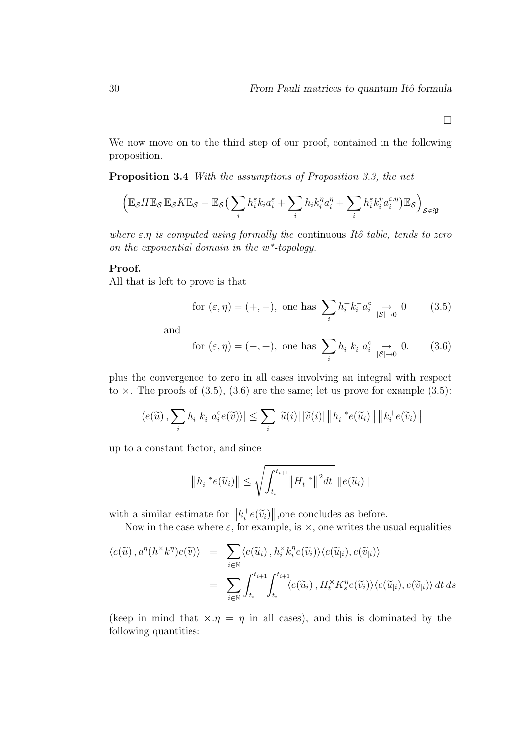$\Box$ 

We now move on to the third step of our proof, contained in the following proposition.

Proposition 3.4 With the assumptions of Proposition 3.3, the net

$$
\left(\mathbb{E}_{\mathcal{S}}H\mathbb{E}_{\mathcal{S}}\mathbb{E}_{\mathcal{S}}K\mathbb{E}_{\mathcal{S}}-\mathbb{E}_{\mathcal{S}}\left(\sum_{i}h_{i}^{\varepsilon}k_{i}a_{i}^{\varepsilon}+\sum_{i}h_{i}k_{i}^{\eta}a_{i}^{\eta}+\sum_{i}h_{i}^{\varepsilon}k_{i}^{\eta}a_{i}^{\varepsilon,\eta}\right)\mathbb{E}_{\mathcal{S}}\right)_{\mathcal{S}\in\mathfrak{P}}
$$

where  $\varepsilon.\eta$  is computed using formally the continuous Itô table, tends to zero on the exponential domain in the  $w^*$ -topology.

## Proof.

All that is left to prove is that

for 
$$
(\varepsilon, \eta) = (+, -)
$$
, one has  $\sum_{i} h_i^+ k_i^- a_i^\circ \underset{|\mathcal{S}| \to 0}{\to} 0$  (3.5)

and

for 
$$
(\varepsilon, \eta) = (-, +)
$$
, one has  $\sum_{i} h_i^- k_i^+ a_i^\circ \underset{|\mathcal{S}| \to 0}{\to} 0.$  (3.6)

plus the convergence to zero in all cases involving an integral with respect to  $\times$ . The proofs of (3.5), (3.6) are the same; let us prove for example (3.5):

$$
|\langle e(\widetilde{u}), \sum_{i} h_{i}^{-}k_{i}^{+}a_{i}^{\circ}e(\widetilde{v})\rangle| \leq \sum_{i} |\widetilde{u}(i)| |\widetilde{v}(i)| \left\| h_{i}^{-*}e(\widetilde{u}_{i}) \right\| \left\| k_{i}^{+}e(\widetilde{v}_{i}) \right\|
$$

up to a constant factor, and since

$$
\left\|h_i^{-*}e(\widetilde{u}_i)\right\| \leq \sqrt{\int_{t_i}^{t_{i+1}} \left\|H_t^{-*}\right\|^2 dt} \left\|e(\widetilde{u}_i)\right\|
$$

with a similar estimate for  $||k_i^+||$  $\begin{aligned} \mathcal{L}_i^+ e(\widetilde{v}_i) \parallel, \text{one concludes as before.} \\ \text{or example, is } \times \text{ one writes the } \end{aligned}$ 

Now in the case where  $\varepsilon$ , for example, is  $\times$ , one writes the usual equalities

$$
\langle e(\widetilde{u}), a^{\eta}(h^{\times}k^{\eta})e(\widetilde{v})\rangle = \sum_{i\in\mathbb{N}}\langle e(\widetilde{u}_i), h_i^{\times}k_i^{\eta}e(\widetilde{v}_i)\rangle\langle e(\widetilde{u}_{[i}), e(\widetilde{v}_{[i})\rangle
$$
  

$$
= \sum_{i\in\mathbb{N}}\int_{t_i}^{t_{i+1}}\int_{t_i}^{t_{i+1}}\langle e(\widetilde{u}_i), H_i^{\times}K_s^{\eta}e(\widetilde{v}_i)\rangle\langle e(\widetilde{u}_{[i}), e(\widetilde{v}_{[i})\rangle dt ds
$$

(keep in mind that  $\times \eta = \eta$  in all cases), and this is dominated by the following quantities: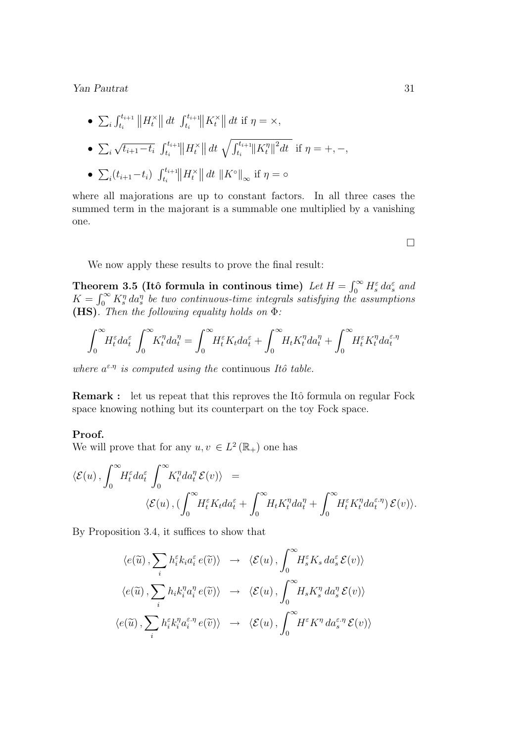\n- \n
$$
\sum_{i} \int_{t_i}^{t_{i+1}} \|H_t^{\times}\| \, dt \, \int_{t_i}^{t_{i+1}} \|K_t^{\times}\| \, dt \text{ if } \eta = \times,
$$
\n
\n- \n
$$
\sum_{i} \sqrt{t_{i+1} - t_i} \, \int_{t_i}^{t_{i+1}} \|H_t^{\times}\| \, dt \, \sqrt{\int_{t_i}^{t_{i+1}} \|K_t^{\eta}\|^2} \, dt \text{ if } \eta = +, -
$$
\n
\n- \n
$$
\sum_{i} (t_{i+1} - t_i) \, \int_{t_i}^{t_{i+1}} \|H_t^{\times}\| \, dt \, \|K^{\circ}\|_{\infty} \text{ if } \eta = \infty
$$
\n
\n

where all majorations are up to constant factors. In all three cases the summed term in the majorant is a summable one multiplied by a vanishing one.

We now apply these results to prove the final result:

Theorem 3.5 (Itô formula in continous time) Let  $H = \int_0^\infty H_s^{\varepsilon} d a_s^{\varepsilon}$  and  $K = \int_0^\infty K_s^n \, da_s^n$  be two continuous-time integrals satisfying the assumptions  $(HS)$ . Then the following equality holds on  $\Phi$ :

$$
\int_0^\infty H_t^\varepsilon da_t^\varepsilon \int_0^\infty K_t^\eta da_t^\eta = \int_0^\infty H_t^\varepsilon K_t da_t^\varepsilon + \int_0^\infty H_t K_t^\eta da_t^\eta + \int_0^\infty H_t^\varepsilon K_t^\eta da_t^{\varepsilon.\eta}
$$

where  $a^{\varepsilon \cdot \eta}$  is computed using the continuous Itô table.

Remark : let us repeat that this reproves the Itô formula on regular Fock space knowing nothing but its counterpart on the toy Fock space.

### Proof.

We will prove that for any  $u, v \in L^2(\mathbb{R}_+)$  one has

$$
\langle \mathcal{E}(u) , \int_0^\infty H_t^\varepsilon da_t^\varepsilon \int_0^\infty K_t^\eta da_t^\eta \mathcal{E}(v) \rangle =
$$
  

$$
\langle \mathcal{E}(u) , (\int_0^\infty H_t^\varepsilon K_t da_t^\varepsilon + \int_0^\infty H_t K_t^\eta da_t^\eta + \int_0^\infty H_t^\varepsilon K_t^\eta da_t^{\varepsilon,\eta} \rangle \mathcal{E}(v) \rangle.
$$

By Proposition 3.4, it suffices to show that

$$
\langle e(\widetilde{u}), \sum_{i} h_{i}^{\varepsilon} k_{i} a_{i}^{\varepsilon} e(\widetilde{v}) \rangle \rightarrow \langle \mathcal{E}(u), \int_{0}^{\infty} H_{s}^{\varepsilon} K_{s} da_{s}^{\varepsilon} \mathcal{E}(v) \rangle
$$
  

$$
\langle e(\widetilde{u}), \sum_{i} h_{i} k_{i}^{\eta} a_{i}^{\eta} e(\widetilde{v}) \rangle \rightarrow \langle \mathcal{E}(u), \int_{0}^{\infty} H_{s} K_{s}^{\eta} da_{s}^{\eta} \mathcal{E}(v) \rangle
$$
  

$$
\langle e(\widetilde{u}), \sum_{i} h_{i}^{\varepsilon} k_{i}^{\eta} a_{i}^{\varepsilon \cdot \eta} e(\widetilde{v}) \rangle \rightarrow \langle \mathcal{E}(u), \int_{0}^{\infty} H^{\varepsilon} K^{\eta} da_{s}^{\varepsilon \cdot \eta} \mathcal{E}(v) \rangle
$$

 $\Box$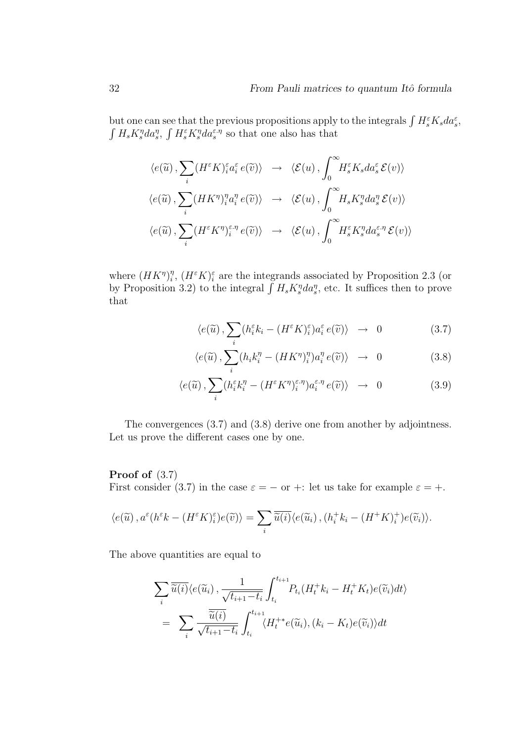but one can see that the previous propositions apply to the integrals  $\int H_s^{\varepsilon} K_s da_{s}^{\varepsilon}$ ,  $\int H_s K_s^{\eta} da_s^{\eta}$ ,  $\int H_s^{\varepsilon} K_s^{\eta} da_s^{\varepsilon, \eta}$  so that one also has that

$$
\langle e(\widetilde{u}), \sum_{i} (H^{\varepsilon} K)^{\varepsilon}_{i} a^{\varepsilon}_{i} e(\widetilde{v}) \rangle \rightarrow \langle \mathcal{E}(u), \int_{0}^{\infty} H^{\varepsilon}_{s} K_{s} da^{\varepsilon}_{s} \mathcal{E}(v) \rangle
$$
  

$$
\langle e(\widetilde{u}), \sum_{i} (HK^{\eta})^{\eta}_{i} a^{\eta}_{i} e(\widetilde{v}) \rangle \rightarrow \langle \mathcal{E}(u), \int_{0}^{\infty} H_{s} K^{{\eta}_{s}}_{s} da^{\eta}_{s} \mathcal{E}(v) \rangle
$$
  

$$
\langle e(\widetilde{u}), \sum_{i} (H^{\varepsilon} K^{\eta})^{\varepsilon, \eta}_{i} e(\widetilde{v}) \rangle \rightarrow \langle \mathcal{E}(u), \int_{0}^{\infty} H^{\varepsilon}_{s} K^{{\eta}_{s}}_{s} da^{\varepsilon, \eta}_{s} \mathcal{E}(v) \rangle
$$

where  $(HK^{\eta})^{\eta}_{i}$  $_{i}^{\eta}$ ,  $(H^{\varepsilon}K)_{i}^{\varepsilon}$  are the integrands associated by Proposition 2.3 (or by Proposition 3.2) to the integral  $\int H_s K_s^{\eta} da_s^{\eta}$ , etc. It suffices then to prove that

$$
\langle e(\widetilde{u}), \sum_{i} (h_i^{\varepsilon} k_i - (H^{\varepsilon} K)_i^{\varepsilon}) a_i^{\varepsilon} e(\widetilde{v}) \rangle \rightarrow 0 \qquad (3.7)
$$

$$
\langle e(\widetilde{u}), \sum_{i} (h_i k_i^{\eta} - (HK^{\eta})_i^{\eta}) a_i^{\eta} e(\widetilde{v}) \rangle \rightarrow 0 \qquad (3.8)
$$

$$
\langle e(\widetilde{u}), \sum_{i} (h_i^{\varepsilon} k_i^{\eta} - (H^{\varepsilon} K^{\eta})_i^{\varepsilon, \eta}) a_i^{\varepsilon, \eta} e(\widetilde{v}) \rangle \rightarrow 0 \tag{3.9}
$$

The convergences (3.7) and (3.8) derive one from another by adjointness. Let us prove the different cases one by one.

## Proof of  $(3.7)$

First consider (3.7) in the case  $\varepsilon = -$  or +: let us take for example  $\varepsilon = +$ .

$$
\langle e(\widetilde{u}), a^{\varepsilon}(h^{\varepsilon}k - (H^{\varepsilon}K)^{\varepsilon})e(\widetilde{v})\rangle = \sum_{i} \overline{\widetilde{u}(i)} \langle e(\widetilde{u}_i), (h_i^+k_i - (H^+K)^+_i)e(\widetilde{v}_i)\rangle.
$$

The above quantities are equal to

$$
\sum_{i} \overline{\widetilde{u}(i)} \langle e(\widetilde{u}_i), \frac{1}{\sqrt{t_{i+1} - t_i}} \int_{t_i}^{t_{i+1}} P_{t_i} (H_t^+ k_i - H_t^+ K_t) e(\widetilde{v}_i) dt \rangle
$$
  
= 
$$
\sum_{i} \frac{\overline{\widetilde{u}(i)}}{\sqrt{t_{i+1} - t_i}} \int_{t_i}^{t_{i+1}} \langle H_t^{+*} e(\widetilde{u}_i), (k_i - K_t) e(\widetilde{v}_i) \rangle dt
$$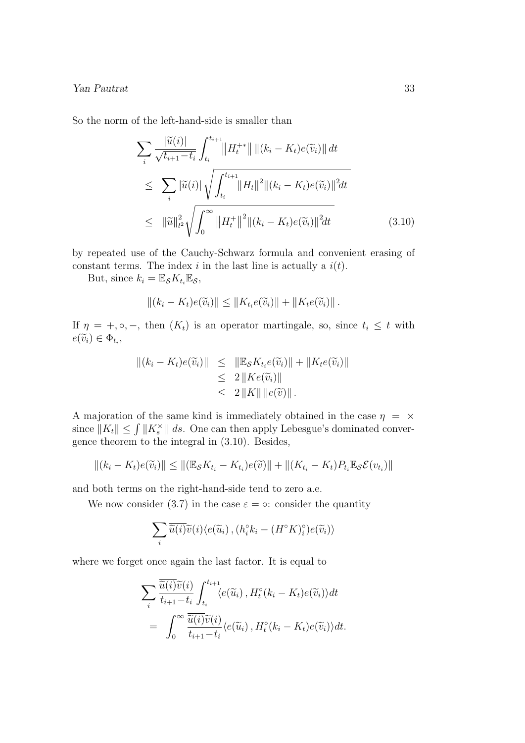So the norm of the left-hand-side is smaller than

$$
\sum_{i} \frac{|\widetilde{u}(i)|}{\sqrt{t_{i+1} - t_i}} \int_{t_i}^{t_{i+1}} ||H_t^{+*}|| ||(k_i - K_t)e(\widetilde{v}_i)|| dt
$$
\n
$$
\leq \sum_{i} |\widetilde{u}(i)| \sqrt{\int_{t_i}^{t_{i+1}} ||H_t||^2 ||(k_i - K_t)e(\widetilde{v}_i)||^2} dt
$$
\n
$$
\leq ||\widetilde{u}||_{l^2}^2 \sqrt{\int_0^\infty ||H_t^{+}||^2 ||(k_i - K_t)e(\widetilde{v}_i)||^2} dt
$$
\n(3.10)

by repeated use of the Cauchy-Schwarz formula and convenient erasing of constant terms. The index  $i$  in the last line is actually a  $i(t)$ .

But, since  $k_i = \mathbb{E}_{\mathcal{S}} K_{t_i} \mathbb{E}_{\mathcal{S}}$ ,

$$
||(k_i - K_t)e(\widetilde{v}_i)|| \leq ||K_{t_i}e(\widetilde{v}_i)|| + ||K_t e(\widetilde{v}_i)||.
$$

If  $\eta = +, \circ, -$ , then  $(K_t)$  is an operator martingale, so, since  $t_i \leq t$  with  $e(\widetilde{v}_i) \in \Phi_{t_i},$ 

$$
||(k_i - K_t)e(\widetilde{v}_i)|| \le ||\mathbb{E}_{\mathcal{S}}K_{t_i}e(\widetilde{v}_i)|| + ||K_t e(\widetilde{v}_i)||
$$
  
\n
$$
\le 2 ||K e(\widetilde{v}_i)||
$$
  
\n
$$
\le 2 ||K|| ||e(\widetilde{v})||.
$$

A majoration of the same kind is immediately obtained in the case  $\eta = \times$ since  $||K_t|| \leq \int ||K_s^{\times}|| ds$ . One can then apply Lebesgue's dominated convergence theorem to the integral in (3.10). Besides,

$$
||(k_i - K_t)e(\widetilde{v}_i)|| \le ||(\mathbb{E}_{\mathcal{S}}K_{t_i} - K_{t_i})e(\widetilde{v})|| + ||(K_{t_i} - K_t)P_{t_i}\mathbb{E}_{\mathcal{S}}\mathcal{E}(v_{t_i})||
$$

and both terms on the right-hand-side tend to zero a.e.

We now consider (3.7) in the case  $\varepsilon = \circ$ : consider the quantity

$$
\sum_{i} \overline{\widetilde{u}(i)} \widetilde{v}(i) \langle e(\widetilde{u}_i), (h_i^{\circ} k_i - (H^{\circ} K)_i^{\circ}) e(\widetilde{v}_i) \rangle
$$

where we forget once again the last factor. It is equal to

$$
\sum_{i} \frac{\overline{\widetilde{u}(i)}\widetilde{v}(i)}{t_{i+1} - t_i} \int_{t_i}^{t_{i+1}} \langle e(\widetilde{u}_i), H_t^{\circ}(k_i - K_t)e(\widetilde{v}_i) \rangle dt
$$
  
= 
$$
\int_0^{\infty} \frac{\overline{\widetilde{u}(i)}\widetilde{v}(i)}{t_{i+1} - t_i} \langle e(\widetilde{u}_i), H_t^{\circ}(k_i - K_t)e(\widetilde{v}_i) \rangle dt.
$$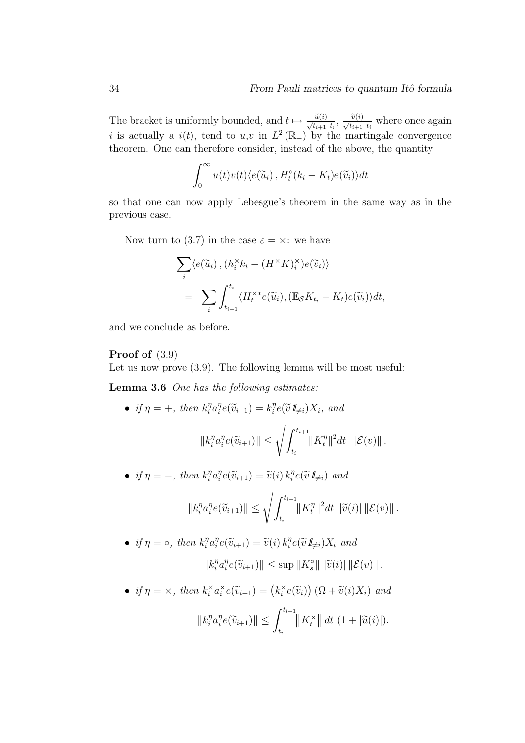The bracket is uniformly bounded, and  $t \mapsto \frac{\tilde{u}(i)}{\sqrt{t_{i+1}-t_i}}, \frac{\tilde{v}(i)}{\sqrt{t_{i+1}-t_i}}$  where once again i is actually a  $i(t)$ , tend to u,v in  $L^2(\mathbb{R}_+)$  by the martingale convergence theorem. One can therefore consider, instead of the above, the quantity

$$
\int_0^\infty \overline{u(t)}v(t)\langle e(\widetilde{u}_i), H_t^\circ(k_i - K_t)e(\widetilde{v}_i)\rangle dt
$$

so that one can now apply Lebesgue's theorem in the same way as in the previous case.

Now turn to (3.7) in the case  $\varepsilon = \times$ : we have

$$
\sum_{i} \langle e(\widetilde{u}_{i}), (h_{i}^{\times}k_{i} - (H^{\times}K)_{i}^{\times})e(\widetilde{v}_{i}) \rangle
$$
  
= 
$$
\sum_{i} \int_{t_{i-1}}^{t_{i}} \langle H_{t}^{\times*}e(\widetilde{u}_{i}), (\mathbb{E}_{S}K_{t_{i}} - K_{t})e(\widetilde{v}_{i}) \rangle dt,
$$

and we conclude as before.

### Proof of  $(3.9)$

Let us now prove  $(3.9)$ . The following lemma will be most useful:

Lemma 3.6 One has the following estimates:

- if  $\eta = +$ , then  $k_i^{\eta} a_i^{\eta}$  $i^{\eta}e(\widetilde{v}_{i+1}) = k_i^{\eta}$  $e_i^n e(\widetilde{v}\mathbf{1}_{\neq i})X_i$ , and  $\|k_i^{\eta}a_i^{\eta}$  $\|e_i^n e(\widetilde{v}_{i+1})\| \leq \sqrt{\int_{t_i}^{t_{i+1}}}$  $\|K_t^{\eta}\|^2 dt \|\mathcal{E}(v)\|.$
- if  $\eta = -$ , then  $k_i^{\eta} a_i^{\eta}$  $i^{\eta}e(\widetilde{v}_{i+1}) = \widetilde{v}(i) k_i^{\eta}$  $e_i^{\eta}e(\widetilde{v}\mathit{1}\cancel{1}_{\neq i})$  and

$$
||k_i^n a_i^n e(\widetilde{v}_{i+1})|| \leq \sqrt{\int_{t_i}^{t_{i+1}} ||K_t^\eta||^2 dt} \quad |\widetilde{v}(i)| \, ||\mathcal{E}(v)||.
$$

- if  $\eta = \circ$ , then  $k_i^{\eta} a_i^{\eta}$  $i^{\eta}e(\widetilde{v}_{i+1}) = \widetilde{v}(i) k_i^{\eta}$  $e_i^n e(\widetilde{v}\mathit{1\!I}_{\neq i}) X_i$  and  $\|k_i^{\eta}a_i^{\eta}$  $\Vert u_i^{\eta} e(\widetilde{v}_{i+1}) \Vert \leq \sup \Vert K_s^{\circ} \Vert \Vert \widetilde{v}(i) \Vert \Vert \mathcal{E}(v) \Vert.$
- if  $\eta = \times$ , then  $k_i^{\times} a_i^{\times}$  $\sum_{i}^{\times}e(\widetilde{v}_{i+1}) = (k_i^{\times})$  $\widetilde{e}_i^{\times}e(\widetilde{v}_i)\big)$   $(\Omega+\widetilde{v}(i)X_i)$  and  $\|k_i^{\eta}a_i^{\eta}$  $||\sum_{i}^{n} e(\widetilde{v}_{i+1})|| \leq \int_{t_i}^{t_{i+1}}$  $||K_t^{\times}|| dt (1 + |\widetilde{u}(i)|).$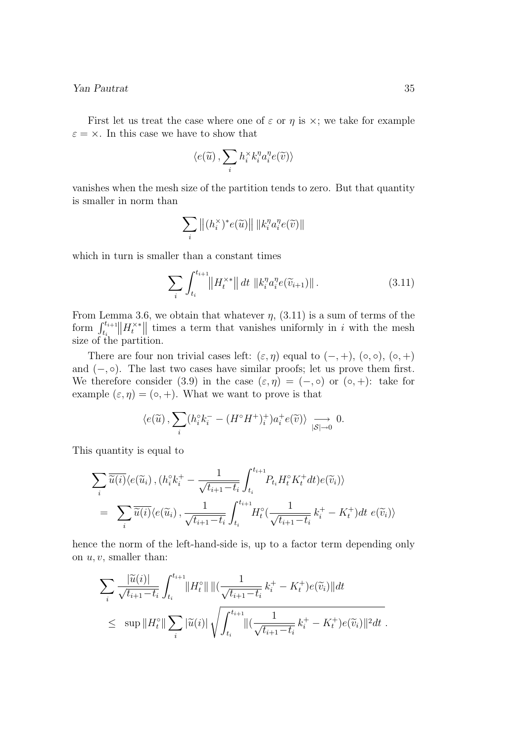First let us treat the case where one of  $\varepsilon$  or  $\eta$  is  $\times$ ; we take for example  $\varepsilon = \times$ . In this case we have to show that

$$
\langle e(\widetilde{u})\,,\sum_i h_i^\times k_i^\eta a_i^\eta e(\widetilde{v})\rangle
$$

vanishes when the mesh size of the partition tends to zero. But that quantity is smaller in norm than

$$
\sum_i \left\| (h_i^\times)^* e(\widetilde{u}) \right\| \left\| k_i^\eta a_i^\eta e(\widetilde{v}) \right\|
$$

which in turn is smaller than a constant times

$$
\sum_{i} \int_{t_i}^{t_{i+1}} \left\| H_t^{\times*} \right\| dt \, \left\| k_i^{\eta} a_i^{\eta} e(\widetilde{v}_{i+1}) \right\|.
$$
 (3.11)

From Lemma 3.6, we obtain that whatever  $\eta$ , (3.11) is a sum of terms of the form  $\int_{t_i}^{t_{i+1}} \n\left\| H_t^{\times*} \right\|$  times a term that vanishes uniformly in i with the mesh size of the partition.

There are four non trivial cases left:  $(\varepsilon, \eta)$  equal to  $(-, +)$ ,  $(\circ, \circ)$ ,  $(\circ, +)$ and  $(-, \circ)$ . The last two cases have similar proofs; let us prove them first. We therefore consider (3.9) in the case  $(\varepsilon, \eta) = (-, \circ)$  or  $(\circ, +)$ : take for example  $(\varepsilon, \eta) = (0, +)$ . What we want to prove is that

$$
\langle e(\widetilde{u}), \sum_{i} (h_i^{\circ} k_i^- - (H^{\circ} H^+)_i^+) a_i^+ e(\widetilde{v}) \rangle \xrightarrow[|S| \to 0]{} 0.
$$

This quantity is equal to

$$
\sum_{i} \overline{\widetilde{u}(i)} \langle e(\widetilde{u}_i), (h_i^{\circ} k_i^+ - \frac{1}{\sqrt{t_{i+1} - t_i}} \int_{t_i}^{t_{i+1}} P_{t_i} H_t^{\circ} K_t^+ dt) e(\widetilde{v}_i) \rangle
$$
  
= 
$$
\sum_{i} \overline{\widetilde{u}(i)} \langle e(\widetilde{u}_i), \frac{1}{\sqrt{t_{i+1} - t_i}} \int_{t_i}^{t_{i+1}} H_t^{\circ} \left( \frac{1}{\sqrt{t_{i+1} - t_i}} k_i^+ - K_t^+ \right) dt \ e(\widetilde{v}_i) \rangle
$$

hence the norm of the left-hand-side is, up to a factor term depending only on  $u, v$ , smaller than:

$$
\sum_{i} \frac{|\widetilde{u}(i)|}{\sqrt{t_{i+1} - t_i}} \int_{t_i}^{t_{i+1}} ||H_t^{\circ}|| \, ||(\frac{1}{\sqrt{t_{i+1} - t_i}} k_i^+ - K_t^+) e(\widetilde{v}_i) || dt
$$
\n
$$
\leq \sup ||H_t^{\circ}|| \sum_{i} |\widetilde{u}(i)| \sqrt{\int_{t_i}^{t_{i+1}} ||(\frac{1}{\sqrt{t_{i+1} - t_i}} k_i^+ - K_t^+) e(\widetilde{v}_i) ||^2} dt.
$$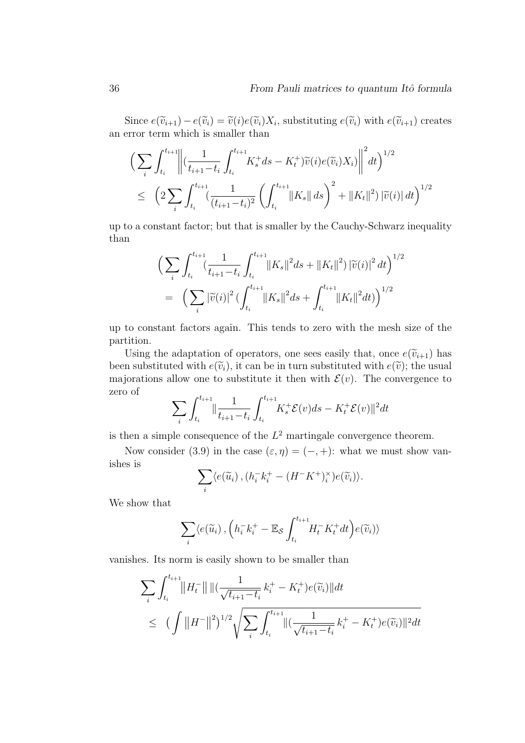Since  $e(\widetilde{v}_{i+1}) - e(\widetilde{v}_i) = \widetilde{v}(i)e(\widetilde{v}_i)X_i$ , substituting  $e(\widetilde{v}_i)$  with  $e(\widetilde{v}_{i+1})$  creates an error term which is smaller than

$$
\left(\sum_{i}\int_{t_i}^{t_{i+1}} \left\|(\frac{1}{t_{i+1}-t_i}\int_{t_i}^{t_{i+1}} K_s^+ ds - K_t^+)\widetilde{v}(i)e(\widetilde{v}_i)X_i)\right\|^2 dt\right)^{1/2} \leq \left(2\sum_{i}\int_{t_i}^{t_{i+1}} (\frac{1}{(t_{i+1}-t_i)^2} \left(\int_{t_i}^{t_{i+1}} \|K_s\| ds\right)^2 + \|K_t\|^2) |\widetilde{v}(i)| dt\right)^{1/2}
$$

up to a constant factor; but that is smaller by the Cauchy-Schwarz inequality than

$$
\left(\sum_{i}\int_{t_i}^{t_{i+1}}\frac{1}{(t_{i+1}-t_i}\int_{t_i}^{t_{i+1}}\|K_s\|^2ds+\|K_t\|^2)\left|\widetilde{v}(i)\right|^2dt\right)^{1/2}
$$
\n
$$
=\left(\sum_{i}\left|\widetilde{v}(i)\right|^2\left(\int_{t_i}^{t_{i+1}}\|K_s\|^2ds+\int_{t_i}^{t_{i+1}}\|K_t\|^2dt\right)\right)^{1/2}
$$

up to constant factors again. This tends to zero with the mesh size of the partition.

Using the adaptation of operators, one sees easily that, once  $e(\widetilde{v}_{i+1})$  has been substituted with  $e(\widetilde{v}_i)$ , it can be in turn substituted with  $e(\widetilde{v})$ ; the usual majorations allow one to substitute it then with  $\mathcal{E}(v)$ . The convergence to zero of

$$
\sum_{i} \int_{t_i}^{t_{i+1}} \lVert \frac{1}{t_{i+1} - t_i} \int_{t_i}^{t_{i+1}} K_s^+ \mathcal{E}(v) ds - K_t^+ \mathcal{E}(v) \rVert^2 dt
$$

is then a simple consequence of the  $L^2$  martingale convergence theorem.

Now consider (3.9) in the case  $(\varepsilon, \eta) = (-, +)$ : what we must show vanishes is

$$
\sum_{i} \langle e(\widetilde{u}_i), (h_i^- k_i^+ - (H^- K^+)_i^{\times}) e(\widetilde{v}_i) \rangle.
$$

We show that

$$
\sum_{i} \langle e(\widetilde{u}_i), \left( h_i^- k_i^+ - \mathbb{E}_{\mathcal{S}} \int_{t_i}^{t_{i+1}} H_t^- K_t^+ dt \right) e(\widetilde{v}_i) \rangle
$$

vanishes. Its norm is easily shown to be smaller than

$$
\sum_{i} \int_{t_i}^{t_{i+1}} \left\| H_t^- \right\| \left\| \left( \frac{1}{\sqrt{t_{i+1} - t_i}} k_i^+ - K_t^+ \right) e(\widetilde{v}_i) \right\| dt
$$
\n
$$
\leq \left( \int \left\| H^- \right\|^2 \right)^{1/2} \sqrt{\sum_{i} \int_{t_i}^{t_{i+1}} \left\| \left( \frac{1}{\sqrt{t_{i+1} - t_i}} k_i^+ - K_t^+ \right) e(\widetilde{v}_i) \right\|^2 dt}
$$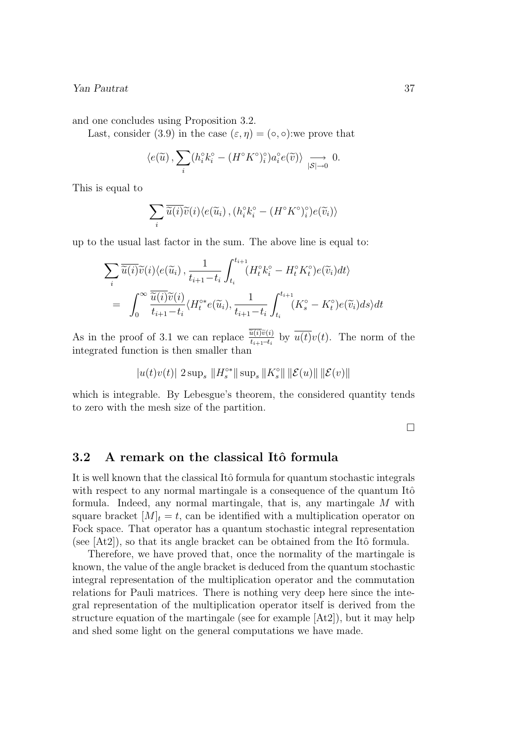and one concludes using Proposition 3.2.

Last, consider (3.9) in the case  $(\varepsilon, \eta) = (0, 0)$ :we prove that

$$
\langle e(\widetilde{u}), \sum_{i} (h_i^{\circ} k_i^{\circ} - (H^{\circ} K^{\circ})_i^{\circ}) a_i^{\circ} e(\widetilde{v}) \rangle \underset{|\mathcal{S}| \to 0}{\longrightarrow} 0.
$$

This is equal to

$$
\sum_i \overline{\widetilde{u}(i)} \widetilde{v}(i) \langle e(\widetilde{u}_i), (h_i^{\circ} k_i^{\circ} - (H^{\circ} K^{\circ})_i^{\circ}) e(\widetilde{v}_i) \rangle
$$

up to the usual last factor in the sum. The above line is equal to:

$$
\sum_{i} \overline{\widetilde{u}(i)} \widetilde{v}(i) \langle e(\widetilde{u}_i), \frac{1}{t_{i+1} - t_i} \int_{t_i}^{t_{i+1}} (H_t^{\circ} k_i^{\circ} - H_t^{\circ} K_t^{\circ}) e(\widetilde{v}_i) dt \rangle
$$
  
= 
$$
\int_0^{\infty} \frac{\overline{\widetilde{u}(i)} \widetilde{v}(i)}{t_{i+1} - t_i} \langle H_t^{\circ*} e(\widetilde{u}_i), \frac{1}{t_{i+1} - t_i} \int_{t_i}^{t_{i+1}} (K_s^{\circ} - K_t^{\circ}) e(\widetilde{v}_i) ds \rangle dt
$$

As in the proof of 3.1 we can replace  $\frac{\tilde{u}(i)\tilde{v}(i)}{t_{i+1}-t_i}$  by  $\overline{u(t)}v(t)$ . The norm of the integrated function is then smaller than

$$
\left|u(t)v(t)\right|\, 2\sup_{s}\, \left\|H_{s}^{\circ*}\right\| \sup_{s}\left\|K_{s}^{\circ}\right\|\left\|\mathcal{E}(u)\right\|\left\|\mathcal{E}(v)\right\|
$$

which is integrable. By Lebesgue's theorem, the considered quantity tends to zero with the mesh size of the partition.

 $\Box$ 

# 3.2 A remark on the classical Itô formula

It is well known that the classical Itô formula for quantum stochastic integrals with respect to any normal martingale is a consequence of the quantum Itô formula. Indeed, any normal martingale, that is, any martingale M with square bracket  $[M]_t = t$ , can be identified with a multiplication operator on Fock space. That operator has a quantum stochastic integral representation (see  $[At2]$ ), so that its angle bracket can be obtained from the Itô formula.

Therefore, we have proved that, once the normality of the martingale is known, the value of the angle bracket is deduced from the quantum stochastic integral representation of the multiplication operator and the commutation relations for Pauli matrices. There is nothing very deep here since the integral representation of the multiplication operator itself is derived from the structure equation of the martingale (see for example [At2]), but it may help and shed some light on the general computations we have made.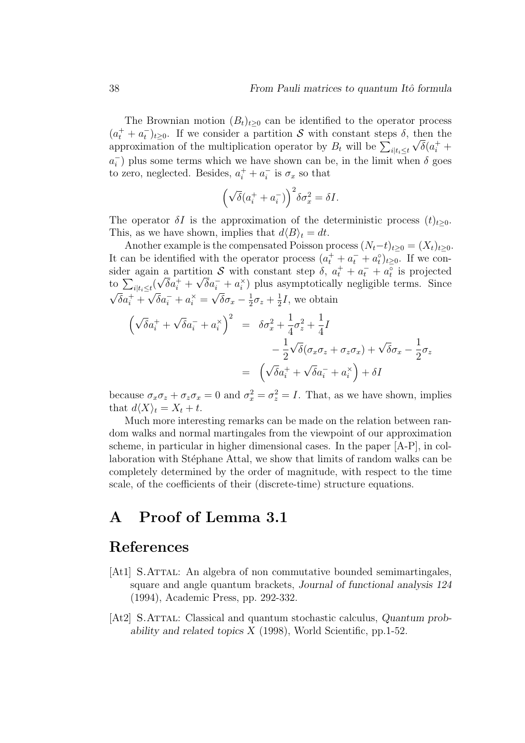The Brownian motion  $(B_t)_{t>0}$  can be identified to the operator process  $(a_t^+ + a_t^-)_{t \geq 0}$ . If we consider a partition S with constant steps  $\delta$ , then the approximation of the multiplication operator by  $B_t$  will be  $\sum_{i|t_i\leq t} \sqrt{\delta}(a_i^+ +$  $a_i^ \binom{1}{i}$  plus some terms which we have shown can be, in the limit when  $\delta$  goes to zero, neglected. Besides,  $a_i^+ + a_i^ \overline{i}$  is  $\sigma_x$  so that

$$
\left(\sqrt{\delta}(a_i^+ + a_i^-)\right)^2 \delta \sigma_x^2 = \delta I.
$$

The operator  $\delta I$  is the approximation of the deterministic process  $(t)_{t\geq0}$ . This, as we have shown, implies that  $d\langle B \rangle_t = dt$ .

Another example is the compensated Poisson process  $(N_t-t)_{t\geq0} = (X_t)_{t\geq0}$ . It can be identified with the operator process  $(a_t^+ + a_t^- + a_t^{\circ})_{t \geq 0}$ . If we consider again a partition S with constant step  $\delta$ ,  $a_t^+ + a_t^- + a_t^0$  is projected to  $\sum_{i|t_i\leq t}(\sqrt{\delta}a_i^+ + \sqrt{\delta}a_i^- + a_i^{\times})$ to  $\sum_{i|t_i \leq t} (\sqrt{\delta}a_i^+ + \sqrt{\delta}a_i^- + a_i^{\times})$  plus asymptotically negligible terms. Since  $\overline{\delta}a_i^+ + \sqrt{\delta}a_i^- + a_i^\times = \sqrt{\delta}\sigma_x - \frac{1}{2}$  $rac{1}{2}\sigma_z + \frac{1}{2}$  $\frac{1}{2}I$ , we obtain

$$
\begin{aligned}\n\left(\sqrt{\delta}a_i^+ + \sqrt{\delta}a_i^- + a_i^{\times}\right)^2 &= \delta\sigma_x^2 + \frac{1}{4}\sigma_z^2 + \frac{1}{4}I \\
&\quad -\frac{1}{2}\sqrt{\delta}(\sigma_x\sigma_z + \sigma_z\sigma_x) + \sqrt{\delta}\sigma_x - \frac{1}{2}\sigma_z \\
&= \left(\sqrt{\delta}a_i^+ + \sqrt{\delta}a_i^- + a_i^{\times}\right) + \delta I\n\end{aligned}
$$

because  $\sigma_x \sigma_z + \sigma_z \sigma_x = 0$  and  $\sigma_x^2 = \sigma_z^2 = I$ . That, as we have shown, implies that  $d\langle X \rangle_t = X_t + t$ .

Much more interesting remarks can be made on the relation between random walks and normal martingales from the viewpoint of our approximation scheme, in particular in higher dimensional cases. In the paper [A-P], in collaboration with Stéphane Attal, we show that limits of random walks can be completely determined by the order of magnitude, with respect to the time scale, of the coefficients of their (discrete-time) structure equations.

# A Proof of Lemma 3.1

# References

- [At1] S.ATTAL: An algebra of non commutative bounded semimartingales, square and angle quantum brackets, Journal of functional analysis 124 (1994), Academic Press, pp. 292-332.
- [At2] S.ATTAL: Classical and quantum stochastic calculus, Quantum probability and related topics  $X$  (1998), World Scientific, pp. 1-52.